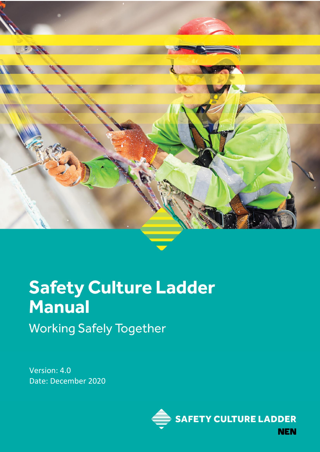

# **Safety Culture Ladder Manual Working Safely Together**

Version: 4.0 Date: December 2020

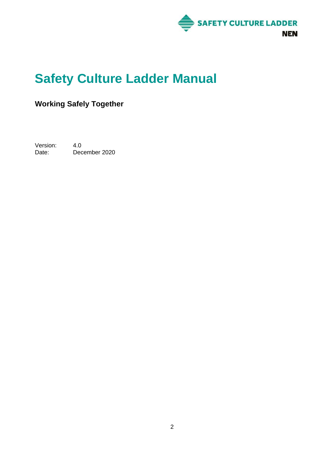

# **Safety Culture Ladder Manual**

### **Working Safely Together**

Version: 4.0<br>Date: Dec December 2020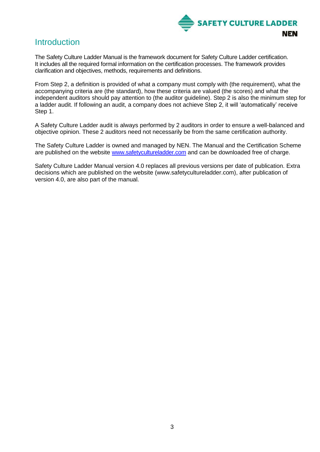

### Introduction

The Safety Culture Ladder Manual is the framework document for Safety Culture Ladder certification. It includes all the required formal information on the certification processes. The framework provides clarification and objectives, methods, requirements and definitions.

From Step 2, a definition is provided of what a company must comply with (the requirement), what the accompanying criteria are (the standard), how these criteria are valued (the scores) and what the independent auditors should pay attention to (the auditor guideline). Step 2 is also the minimum step for a ladder audit. If following an audit, a company does not achieve Step 2, it will 'automatically' receive Step 1.

A Safety Culture Ladder audit is always performed by 2 auditors in order to ensure a well-balanced and objective opinion. These 2 auditors need not necessarily be from the same certification authority.

The Safety Culture Ladder is owned and managed by NEN. The Manual and the Certification Scheme are published on the website [www.safetycultureladder.com](http://www.safetycultureladder.com/) and can be downloaded free of charge.

Safety Culture Ladder Manual version 4.0 replaces all previous versions per date of publication. Extra decisions which are published on the website (www.safetycultureladder.com), after publication of version 4.0, are also part of the manual.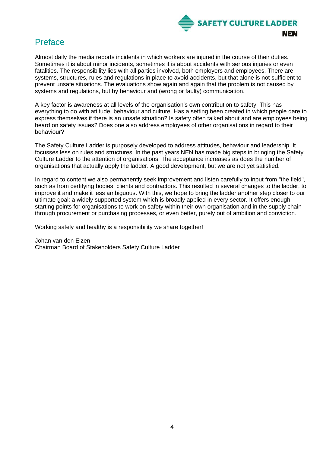

### Preface

Almost daily the media reports incidents in which workers are injured in the course of their duties. Sometimes it is about minor incidents, sometimes it is about accidents with serious injuries or even fatalities. The responsibility lies with all parties involved, both employers and employees. There are systems, structures, rules and regulations in place to avoid accidents, but that alone is not sufficient to prevent unsafe situations. The evaluations show again and again that the problem is not caused by systems and regulations, but by behaviour and (wrong or faulty) communication.

A key factor is awareness at all levels of the organisation's own contribution to safety. This has everything to do with attitude, behaviour and culture. Has a setting been created in which people dare to express themselves if there is an unsafe situation? Is safety often talked about and are employees being heard on safety issues? Does one also address employees of other organisations in regard to their behaviour?

The Safety Culture Ladder is purposely developed to address attitudes, behaviour and leadership. It focusses less on rules and structures. In the past years NEN has made big steps in bringing the Safety Culture Ladder to the attention of organisations. The acceptance increases as does the number of organisations that actually apply the ladder. A good development, but we are not yet satisfied.

In regard to content we also permanently seek improvement and listen carefully to input from "the field", such as from certifying bodies, clients and contractors. This resulted in several changes to the ladder, to improve it and make it less ambiguous. With this, we hope to bring the ladder another step closer to our ultimate goal: a widely supported system which is broadly applied in every sector. It offers enough starting points for organisations to work on safety within their own organisation and in the supply chain through procurement or purchasing processes, or even better, purely out of ambition and conviction.

Working safely and healthy is a responsibility we share together!

Johan van den Elzen Chairman Board of Stakeholders Safety Culture Ladder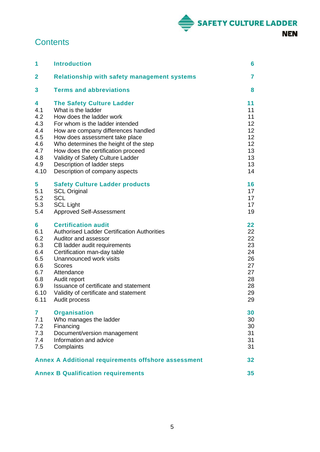

## **Contents**

| 1                                                                                | <b>Introduction</b>                                                                                                                                                                                                                                                                                                                                                                 | 6                                                                    |
|----------------------------------------------------------------------------------|-------------------------------------------------------------------------------------------------------------------------------------------------------------------------------------------------------------------------------------------------------------------------------------------------------------------------------------------------------------------------------------|----------------------------------------------------------------------|
| $\overline{2}$                                                                   | <b>Relationship with safety management systems</b>                                                                                                                                                                                                                                                                                                                                  | 7                                                                    |
| 3                                                                                | <b>Terms and abbreviations</b>                                                                                                                                                                                                                                                                                                                                                      | 8                                                                    |
| 4<br>4.1<br>4.2<br>4.3<br>4.4<br>4.5<br>4.6<br>4.7<br>4.8<br>4.9<br>4.10         | <b>The Safety Culture Ladder</b><br>What is the ladder<br>How does the ladder work<br>For whom is the ladder intended<br>How are company differences handled<br>How does assessment take place<br>Who determines the height of the step<br>How does the certification proceed<br>Validity of Safety Culture Ladder<br>Description of ladder steps<br>Description of company aspects | 11<br>11<br>11<br>12<br>12<br>12<br>12<br>13<br>13<br>13<br>14       |
| 5<br>5.1<br>5.2<br>5.3<br>5.4                                                    | <b>Safety Culture Ladder products</b><br><b>SCL Original</b><br><b>SCL</b><br><b>SCL Light</b><br>Approved Self-Assessment                                                                                                                                                                                                                                                          | 16<br>17<br>17<br>17<br>19                                           |
| 6<br>6.1<br>6.2<br>6.3<br>6.4<br>6.5<br>6.6<br>6.7<br>6.8<br>6.9<br>6.10<br>6.11 | <b>Certification audit</b><br><b>Authorised Ladder Certification Authorities</b><br>Auditor and assessor<br>CB ladder audit requirements<br>Certification man-day table<br>Unannounced work visits<br><b>Scores</b><br>Attendance<br>Audit report<br>Issuance of certificate and statement<br>Validity of certificate and statement<br>Audit process                                | 22<br>22<br>22<br>23<br>24<br>26<br>27<br>27<br>28<br>28<br>29<br>29 |
| 7<br>7.1<br>7.2<br>7.3<br>7.4<br>7.5                                             | <b>Organisation</b><br>Who manages the ladder<br>Financing<br>Document/version management<br>Information and advice<br>Complaints                                                                                                                                                                                                                                                   | 30<br>30<br>30<br>31<br>31<br>31                                     |
|                                                                                  | <b>Annex A Additional requirements offshore assessment</b>                                                                                                                                                                                                                                                                                                                          | 32                                                                   |
|                                                                                  | <b>Annex B Qualification requirements</b>                                                                                                                                                                                                                                                                                                                                           | 35                                                                   |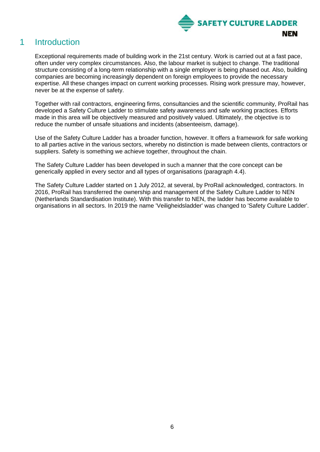

### <span id="page-5-0"></span>1 Introduction

Exceptional requirements made of building work in the 21st century. Work is carried out at a fast pace, often under very complex circumstances. Also, the labour market is subject to change. The traditional structure consisting of a long-term relationship with a single employer is being phased out. Also, building companies are becoming increasingly dependent on foreign employees to provide the necessary expertise. All these changes impact on current working processes. Rising work pressure may, however, never be at the expense of safety.

Together with rail contractors, engineering firms, consultancies and the scientific community, ProRail has developed a Safety Culture Ladder to stimulate safety awareness and safe working practices. Efforts made in this area will be objectively measured and positively valued. Ultimately, the objective is to reduce the number of unsafe situations and incidents (absenteeism, damage).

Use of the Safety Culture Ladder has a broader function, however. It offers a framework for safe working to all parties active in the various sectors, whereby no distinction is made between clients, contractors or suppliers. Safety is something we achieve together, throughout the chain.

The Safety Culture Ladder has been developed in such a manner that the core concept can be generically applied in every sector and all types of organisations (paragraph 4.4).

The Safety Culture Ladder started on 1 July 2012, at several, by ProRail acknowledged, contractors. In 2016, ProRail has transferred the ownership and management of the Safety Culture Ladder to NEN (Netherlands Standardisation Institute). With this transfer to NEN, the ladder has become available to organisations in all sectors. In 2019 the name 'Veiligheidsladder' was changed to 'Safety Culture Ladder'.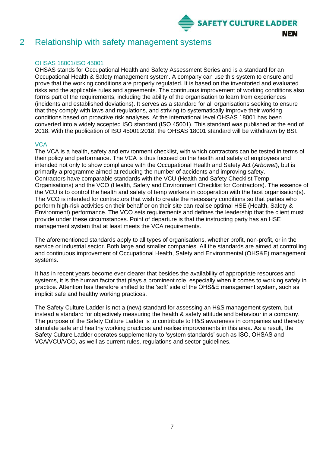

### <span id="page-6-0"></span>2 Relationship with safety management systems

#### OHSAS 18001/ISO 45001

OHSAS stands for Occupational Health and Safety Assessment Series and is a standard for an Occupational Health & Safety management system. A company can use this system to ensure and prove that the working conditions are properly regulated. It is based on the inventoried and evaluated risks and the applicable rules and agreements. The continuous improvement of working conditions also forms part of the requirements, including the ability of the organisation to learn from experiences (incidents and established deviations). It serves as a standard for all organisations seeking to ensure that they comply with laws and regulations, and striving to systematically improve their working conditions based on proactive risk analyses. At the international level OHSAS 18001 has been converted into a widely accepted ISO standard (ISO 45001). This standard was published at the end of 2018. With the publication of ISO 45001:2018, the OHSAS 18001 standard will be withdrawn by BSI.

#### **VCA**

The VCA is a health, safety and environment checklist, with which contractors can be tested in terms of their policy and performance. The VCA is thus focused on the health and safety of employees and intended not only to show compliance with the Occupational Health and Safety Act (*Arbowet*), but is primarily a programme aimed at reducing the number of accidents and improving safety. Contractors have comparable standards with the VCU (Health and Safety Checklist Temp Organisations) and the VCO (Health, Safety and Environment Checklist for Contractors). The essence of the VCU is to control the health and safety of temp workers in cooperation with the host organisation(s). The VCO is intended for contractors that wish to create the necessary conditions so that parties who perform high-risk activities on their behalf or on their site can realise optimal HSE (Health, Safety & Environment) performance. The VCO sets requirements and defines the leadership that the client must provide under these circumstances. Point of departure is that the instructing party has an HSE management system that at least meets the VCA requirements.

The aforementioned standards apply to all types of organisations, whether profit, non-profit, or in the service or industrial sector. Both large and smaller companies. All the standards are aimed at controlling and continuous improvement of Occupational Health, Safety and Environmental (OHS&E) management systems.

It has in recent years become ever clearer that besides the availability of appropriate resources and systems, it is the human factor that plays a prominent role, especially when it comes to working safely in practice. Attention has therefore shifted to the 'soft' side of the OHS&E management system, such as implicit safe and healthy working practices.

The Safety Culture Ladder is not a (new) standard for assessing an H&S management system, but instead a standard for objectively measuring the health & safety attitude and behaviour in a company. The purpose of the Safety Culture Ladder is to contribute to H&S awareness in companies and thereby stimulate safe and healthy working practices and realise improvements in this area. As a result, the Safety Culture Ladder operates supplementary to 'system standards' such as ISO, OHSAS and VCA/VCU/VCO, as well as current rules, regulations and sector guidelines.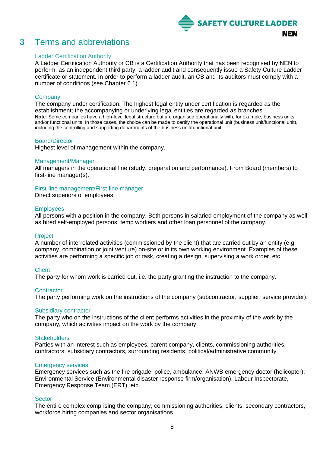

### <span id="page-7-0"></span>3 Terms and abbreviations

#### Ladder Certification Authority

A Ladder Certification Authority or CB is a Certification Authority that has been recognised by NEN to perform, as an independent third party, a ladder audit and consequently issue a Safety Culture Ladder certificate or statement. In order to perform a ladder audit, an CB and its auditors must comply with a number of conditions (see Chapter 6.1).

#### **Company**

The company under certification. The highest legal entity under certification is regarded as the establishment; the accompanying or underlying legal entities are regarded as branches. **Note**: Some companies have a high-level legal structure but are organised operationally with, for example, business units and/or functional units. In those cases, the choice can be made to certify the operational unit (business unit/functional unit), including the controlling and supporting departments of the business unit/functional unit.

#### Board/Director

Highest level of management within the company.

#### Management/Manager

All managers in the operational line (study, preparation and performance). From Board (members) to first-line manager(s).

First-line management/First-line manager

Direct superiors of employees.

#### **Employees**

All persons with a position in the company. Both persons in salaried employment of the company as well as hired self-employed persons, temp workers and other loan personnel of the company.

#### Project

A number of interrelated activities (commissioned by the client) that are carried out by an entity (e.g. company, combination or joint venture) on-site or in its own working environment. Examples of these activities are performing a specific job or task, creating a design, supervising a work order, etc.

#### **Client**

The party for whom work is carried out, i.e. the party granting the instruction to the company.

#### **Contractor**

The party performing work on the instructions of the company (subcontractor, supplier, service provider).

#### Subsidiary contractor

The party who on the instructions of the client performs activities in the proximity of the work by the company, which activities impact on the work by the company.

#### **Stakeholders**

Parties with an interest such as employees, parent company, clients, commissioning authorities, contractors, subsidiary contractors, surrounding residents, political/administrative community.

#### Emergency services

Emergency services such as the fire brigade, police, ambulance, ANWB emergency doctor (helicopter), Environmental Service (Environmental disaster response firm/organisation), Labour Inspectorate, Emergency Response Team (ERT), etc.

#### **Sector**

The entire complex comprising the company, commissioning authorities, clients, secondary contractors, workforce hiring companies and sector organisations.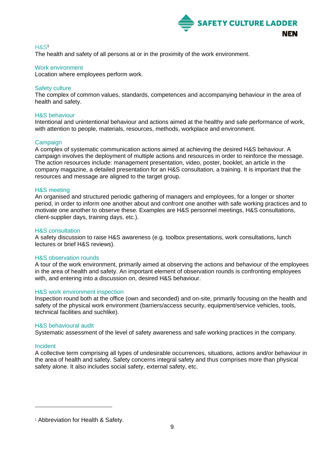

#### H&S<sup>1</sup>

The health and safety of all persons at or in the proximity of the work environment.

#### Work environment

Location where employees perform work.

#### Safety culture

The complex of common values, standards, competences and accompanying behaviour in the area of health and safety.

#### H&S behaviour

Intentional and unintentional behaviour and actions aimed at the healthy and safe performance of work, with attention to people, materials, resources, methods, workplace and environment.

#### Campaign

A complex of systematic communication actions aimed at achieving the desired H&S behaviour. A campaign involves the deployment of multiple actions and resources in order to reinforce the message. The action resources include: management presentation, video, poster, booklet, an article in the company magazine, a detailed presentation for an H&S consultation, a training. It is important that the resources and message are aligned to the target group.

#### H&S meeting

An organised and structured periodic gathering of managers and employees, for a longer or shorter period, in order to inform one another about and confront one another with safe working practices and to motivate one another to observe these. Examples are H&S personnel meetings, H&S consultations, client-supplier days, training days, etc.).

#### H&S consultation

A safety discussion to raise H&S awareness (e.g. toolbox presentations, work consultations, lunch lectures or brief H&S reviews).

#### H&S observation rounds

A tour of the work environment, primarily aimed at observing the actions and behaviour of the employees in the area of health and safety. An important element of observation rounds is confronting employees with, and entering into a discussion on, desired H&S behaviour.

#### H&S work environment inspection

Inspection round both at the office (own and seconded) and on-site, primarily focusing on the health and safety of the physical work environment (barriers/access security, equipment/service vehicles, tools, technical facilities and suchlike).

#### H&S behavioural audit

Systematic assessment of the level of safety awareness and safe working practices in the company.

#### Incident

A collective term comprising all types of undesirable occurrences, situations, actions and/or behaviour in the area of health and safety. Safety concerns integral safety and thus comprises more than physical safety alone. It also includes social safety, external safety, etc.

<sup>&</sup>lt;sup>1</sup> Abbreviation for Health & Safety.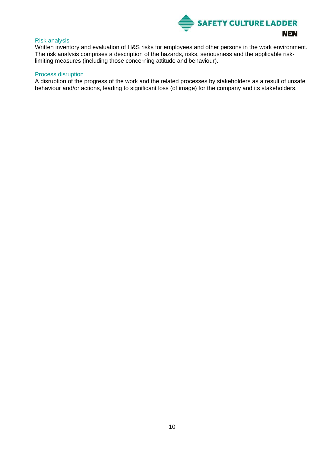

#### Risk analysis

Written inventory and evaluation of H&S risks for employees and other persons in the work environment. The risk analysis comprises a description of the hazards, risks, seriousness and the applicable risklimiting measures (including those concerning attitude and behaviour).

#### Process disruption

A disruption of the progress of the work and the related processes by stakeholders as a result of unsafe behaviour and/or actions, leading to significant loss (of image) for the company and its stakeholders.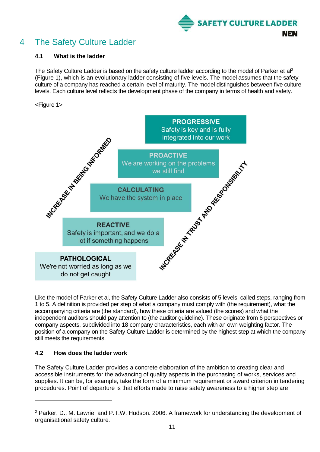

## <span id="page-10-0"></span>4 The Safety Culture Ladder

#### <span id="page-10-1"></span>**4.1 What is the ladder**

The Safety Culture Ladder is based on the safety culture ladder according to the model of Parker et al<sup>2</sup> (Figure 1), which is an evolutionary ladder consisting of five levels. The model assumes that the safety culture of a company has reached a certain level of maturity. The model distinguishes between five culture levels. Each culture level reflects the development phase of the company in terms of health and safety.

#### <Figure 1>



Like the model of Parker et al, the Safety Culture Ladder also consists of 5 levels, called steps, ranging from 1 to 5. A definition is provided per step of what a company must comply with (the requirement), what the accompanying criteria are (the standard), how these criteria are valued (the scores) and what the independent auditors should pay attention to (the auditor guideline). These originate from 6 perspectives or company aspects, subdivided into 18 company characteristics, each with an own weighting factor. The position of a company on the Safety Culture Ladder is determined by the highest step at which the company still meets the requirements.

#### <span id="page-10-2"></span>**4.2 How does the ladder work**

The Safety Culture Ladder provides a concrete elaboration of the ambition to creating clear and accessible instruments for the advancing of quality aspects in the purchasing of works, services and supplies. It can be, for example, take the form of a minimum requirement or award criterion in tendering procedures. Point of departure is that efforts made to raise safety awareness to a higher step are

<sup>2</sup> Parker, D., M. Lawrie, and P.T.W. Hudson. 2006. A framework for understanding the development of organisational safety culture*.*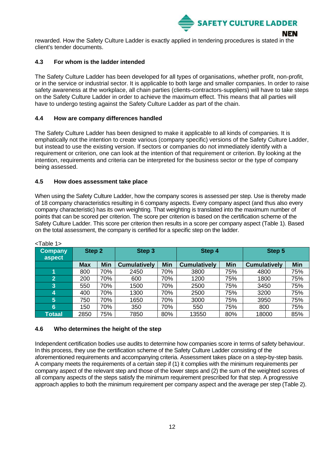

rewarded. How the Safety Culture Ladder is exactly applied in tendering procedures is stated in the client's tender documents.

#### <span id="page-11-0"></span>**4.3 For whom is the ladder intended**

The Safety Culture Ladder has been developed for all types of organisations, whether profit, non-profit, or in the service or industrial sector. It is applicable to both large and smaller companies. In order to raise safety awareness at the workplace, all chain parties (clients-contractors-suppliers) will have to take steps on the Safety Culture Ladder in order to achieve the maximum effect. This means that all parties will have to undergo testing against the Safety Culture Ladder as part of the chain.

#### <span id="page-11-1"></span>**4.4 How are company differences handled**

The Safety Culture Ladder has been designed to make it applicable to all kinds of companies. It is emphatically not the intention to create various (company specific) versions of the Safety Culture Ladder, but instead to use the existing version. If sectors or companies do not immediately identify with a requirement or criterion, one can look at the intention of that requirement or criterion. By looking at the intention, requirements and criteria can be interpreted for the business sector or the type of company being assessed.

#### <span id="page-11-2"></span>**4.5 How does assessment take place**

When using the Safety Culture Ladder, how the company scores is assessed per step. Use is thereby made of 18 company characteristics resulting in 6 company aspects. Every company aspect (and thus also every company characteristic) has its own weighting. That weighting is translated into the maximum number of points that can be scored per criterion. The score per criterion is based on the certification scheme of the Safety Culture Ladder. This score per criterion then results in a score per company aspect (Table 1). Based on the total assessment, the company is certified for a specific step on the ladder.

| <b>Company</b><br>aspect | Step 2     |            | Step 3              |            | Step 4              |     | Step 5              |            |
|--------------------------|------------|------------|---------------------|------------|---------------------|-----|---------------------|------------|
|                          | <b>Max</b> | <b>Min</b> | <b>Cumulatively</b> | <b>Min</b> | <b>Cumulatively</b> | Min | <b>Cumulatively</b> | <b>Min</b> |
|                          | 800        | 70%        | 2450                | 70%        | 3800                | 75% | 4800                | 75%        |
| $\overline{2}$           | 200        | 70%        | 600                 | 70%        | 1200                | 75% | 1800                | 75%        |
| $\overline{3}$           | 550        | 70%        | 1500                | 70%        | 2500                | 75% | 3450                | 75%        |
| 4                        | 400        | 70%        | 1300                | 70%        | 2500                | 75% | 3200                | 75%        |
| 5                        | 750        | 70%        | 1650                | 70%        | 3000                | 75% | 3950                | 75%        |
| 6                        | 150        | 70%        | 350                 | 70%        | 550                 | 75% | 800                 | 75%        |
| <b>Totaal</b>            | 2850       | 75%        | 7850                | 80%        | 13550               | 80% | 18000               | 85%        |

| I able |  |
|--------|--|
|        |  |

#### <span id="page-11-3"></span>**4.6 Who determines the height of the step**

Independent certification bodies use audits to determine how companies score in terms of safety behaviour. In this process, they use the certification scheme of the Safety Culture Ladder consisting of the aforementioned requirements and accompanying criteria. Assessment takes place on a step-by-step basis. A company meets the requirements of a certain step if (1) it complies with the minimum requirements per company aspect of the relevant step and those of the lower steps and (2) the sum of the weighted scores of all company aspects of the steps satisfy the minimum requirement prescribed for that step. A progressive approach applies to both the minimum requirement per company aspect and the average per step (Table 2).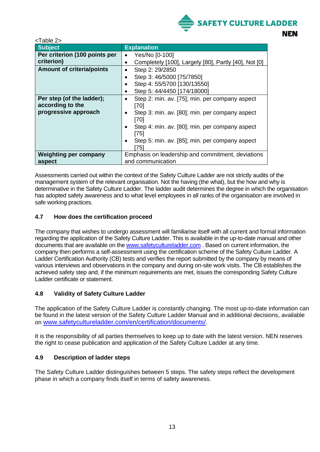

| <table 2=""></table>             |                                                             |
|----------------------------------|-------------------------------------------------------------|
| <b>Subject</b>                   | <b>Explanation</b>                                          |
| Per criterion (100 points per    | Yes/No [0-100]<br>$\bullet$                                 |
| criterion)                       | Completely [100], Largely [80], Partly [40], Not [0]        |
| <b>Amount of criteria/points</b> | Step 2: 29/2850                                             |
|                                  | Step 3: 46/5000 [75/7850]                                   |
|                                  | Step 4: 55/5700 [130/13550]                                 |
|                                  | Step 5: 44/4450 [174/18000]                                 |
| Per step (of the ladder);        | Step 2: min. av. [75]; min. per company aspect              |
| according to the                 | [70]                                                        |
| progressive approach             | Step 3: min. av. [80]; min. per company aspect<br>$\bullet$ |
|                                  | [70]                                                        |
|                                  | Step 4: min. av. [80]; min. per company aspect              |
|                                  | [75]                                                        |
|                                  | Step 5: min. av. [85]; min. per company aspect              |
|                                  | [75]                                                        |
| <b>Weighting per company</b>     | Emphasis on leadership and commitment, deviations           |
| aspect                           | and communication                                           |

Assessments carried out within the context of the Safety Culture Ladder are not strictly audits of the management system of the relevant organisation. Not the having (the what), but the how and why is determinative in the Safety Culture Ladder. The ladder audit determines the degree in which the organisation has adopted safety awareness and to what level employees in all ranks of the organisation are involved in safe working practices.

#### <span id="page-12-0"></span>**4.7 How does the certification proceed**

The company that wishes to undergo assessment will familiarise itself with all current and formal information regarding the application of the Safety Culture Ladder. This is available in the up-to-date manual and other documents that are available on the [www.safetycultureladder.com](http://www.safetycultureladder.com/) . Based on current information, the company then performs a self-assessment using the certification scheme of the Safety Culture Ladder. A Ladder Certification Authority (CB) tests and verifies the report submitted by the company by means of various interviews and observations in the company and during on-site work visits. The CB establishes the achieved safety step and, if the minimum requirements are met, issues the corresponding Safety Culture Ladder certificate or statement.

#### <span id="page-12-1"></span>**4.8 Validity of Safety Culture Ladder**

The application of the Safety Culture Ladder is constantly changing. The most up-to-date information can be found in the latest version of the Safety Culture Ladder Manual and in additional decisions, available on [www.safetycultureladder.com/en/certification/documents/](http://www.safetycultureladder.com/en/certification/documents/).

It is the responsibility of all parties themselves to keep up to date with the latest version. NEN reserves the right to cease publication and application of the Safety Culture Ladder at any time.

#### <span id="page-12-2"></span>**4.9 Description of ladder steps**

The Safety Culture Ladder distinguishes between 5 steps. The safety steps reflect the development phase in which a company finds itself in terms of safety awareness.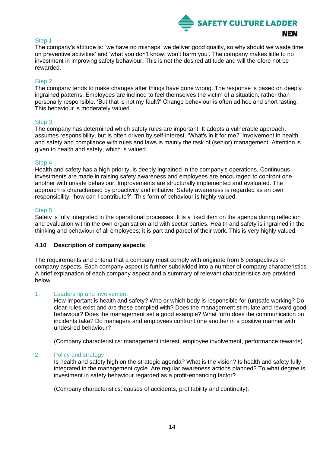

#### Step 1

The company's attitude is: 'we have no mishaps, we deliver good quality, so why should we waste time on preventive activities' and 'what you don't know, won't harm you'. The company makes little to no investment in improving safety behaviour. This is not the desired attitude and will therefore not be rewarded.

#### Step 2

The company tends to make changes after things have gone wrong. The response is based on deeply ingrained patterns. Employees are inclined to feel themselves the victim of a situation, rather than personally responsible. 'But that is not my fault?' Change behaviour is often ad hoc and short lasting. This behaviour is moderately valued.

#### Step 3

The company has determined which safety rules are important. It adopts a vulnerable approach, assumes responsibility, but is often driven by self-interest. 'What's in it for me?' Involvement in health and safety and compliance with rules and laws is mainly the task of (senior) management. Attention is given to health and safety, which is valued.

#### Step 4

Health and safety has a high priority, is deeply ingrained in the company's operations. Continuous investments are made in raising safety awareness and employees are encouraged to confront one another with unsafe behaviour. Improvements are structurally implemented and evaluated. The approach is characterised by proactivity and initiative. Safety awareness is regarded as an own responsibility: 'how can I contribute?'. This form of behaviour is highly valued.

#### Step 5

Safety is fully integrated in the operational processes. It is a fixed item on the agenda during reflection and evaluation within the own organisation and with sector parties. Health and safety is ingrained in the thinking and behaviour of all employees; it is part and parcel of their work. This is very highly valued.

#### <span id="page-13-0"></span>**4.10 Description of company aspects**

The requirements and criteria that a company must comply with originate from 6 perspectives or company aspects. Each company aspect is further subdivided into a number of company characteristics. A brief explanation of each company aspect and a summary of relevant characteristics are provided below.

#### 1. Leadership and involvement

How important is health and safety? Who or which body is responsible for (un)safe working? Do clear rules exist and are these complied with? Does the management stimulate and reward good behaviour? Does the management set a good example? What form does the communication on incidents take? Do managers and employees confront one another in a positive manner with undesired behaviour?

(Company characteristics: management interest, employee involvement, performance rewards).

#### 2. Policy and strategy

Is health and safety high on the strategic agenda? What is the vision? Is health and safety fully integrated in the management cycle. Are regular awareness actions planned? To what degree is investment in safety behaviour regarded as a profit-enhancing factor?

(Company characteristics: causes of accidents, profitability and continuity).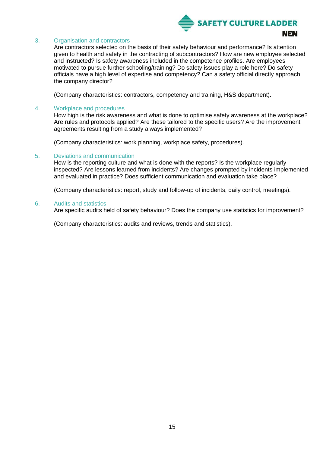

#### 3. Organisation and contractors

Are contractors selected on the basis of their safety behaviour and performance? Is attention given to health and safety in the contracting of subcontractors? How are new employee selected and instructed? Is safety awareness included in the competence profiles. Are employees motivated to pursue further schooling/training? Do safety issues play a role here? Do safety officials have a high level of expertise and competency? Can a safety official directly approach the company director?

(Company characteristics: contractors, competency and training, H&S department).

#### 4. Workplace and procedures

How high is the risk awareness and what is done to optimise safety awareness at the workplace? Are rules and protocols applied? Are these tailored to the specific users? Are the improvement agreements resulting from a study always implemented?

(Company characteristics: work planning, workplace safety, procedures).

#### 5. Deviations and communication

How is the reporting culture and what is done with the reports? Is the workplace regularly inspected? Are lessons learned from incidents? Are changes prompted by incidents implemented and evaluated in practice? Does sufficient communication and evaluation take place?

(Company characteristics: report, study and follow-up of incidents, daily control, meetings).

#### 6. Audits and statistics

Are specific audits held of safety behaviour? Does the company use statistics for improvement?

(Company characteristics: audits and reviews, trends and statistics).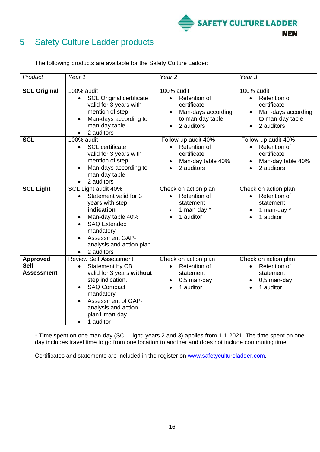

## <span id="page-15-0"></span>5 Safety Culture Ladder products

| Product                                             | Year 1                                                                                                                                                                                                                       | Year <sub>2</sub>                                                                                                                        | Year <sub>3</sub>                                                                                              |
|-----------------------------------------------------|------------------------------------------------------------------------------------------------------------------------------------------------------------------------------------------------------------------------------|------------------------------------------------------------------------------------------------------------------------------------------|----------------------------------------------------------------------------------------------------------------|
| <b>SCL Original</b>                                 | 100% audit<br><b>SCL Original certificate</b><br>valid for 3 years with<br>mention of step<br>Man-days according to<br>man-day table<br>2 auditors<br>$\bullet$                                                              | 100% audit<br>Retention of<br>$\bullet$<br>certificate<br>Man-days according<br>$\bullet$<br>to man-day table<br>2 auditors<br>$\bullet$ | 100% audit<br>Retention of<br>$\bullet$<br>certificate<br>Man-days according<br>to man-day table<br>2 auditors |
| <b>SCL</b>                                          | 100% audit<br><b>SCL</b> certificate<br>$\bullet$<br>valid for 3 years with<br>mention of step<br>Man-days according to<br>man-day table<br>2 auditors                                                                       | Follow-up audit 40%<br>Retention of<br>$\bullet$<br>certificate<br>Man-day table 40%<br>2 auditors                                       | Follow-up audit 40%<br>Retention of<br>$\bullet$<br>certificate<br>Man-day table 40%<br>2 auditors             |
| <b>SCL Light</b>                                    | SCL Light audit 40%<br>Statement valid for 3<br>years with step<br>indication<br>Man-day table 40%<br><b>SAQ Extended</b><br>mandatory<br>Assessment GAP-<br>analysis and action plan<br>2 auditors                          | Check on action plan<br>Retention of<br>statement<br>1 man-day *<br>1 auditor<br>$\bullet$                                               | Check on action plan<br>Retention of<br>statement<br>1 man-day *<br>1 auditor<br>$\bullet$                     |
| <b>Approved</b><br><b>Self</b><br><b>Assessment</b> | <b>Review Self Assessment</b><br>Statement by CB<br>valid for 3 years without<br>step indication.<br><b>SAQ Compact</b><br>$\bullet$<br>mandatory<br>Assessment of GAP-<br>analysis and action<br>plan1 man-day<br>1 auditor | Check on action plan<br>Retention of<br>$\bullet$<br>statement<br>0,5 man-day<br>$\bullet$<br>1 auditor                                  | Check on action plan<br>Retention of<br>statement<br>0,5 man-day<br>1 auditor                                  |

The following products are available for the Safety Culture Ladder:

\* Time spent on one man-day (SCL Light: years 2 and 3) applies from 1-1-2021. The time spent on one day includes travel time to go from one location to another and does not include commuting time.

Certificates and statements are included in the register on [www.safetycultureladder.com.](file:///C:/Users/nkrijg/Documents/www.safetycultureladder.com)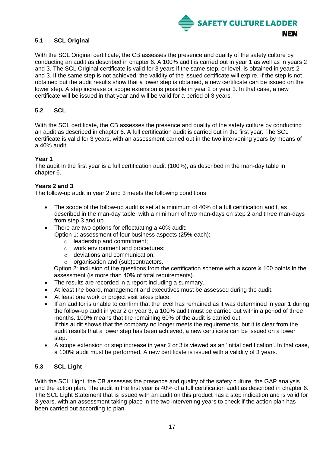

#### <span id="page-16-0"></span>**5.1 SCL Original**

With the SCL Original certificate, the CB assesses the presence and quality of the safety culture by conducting an audit as described in chapter 6. A 100% audit is carried out in year 1 as well as in years 2 and 3. The SCL Original certificate is valid for 3 years if the same step, or level, is obtained in years 2 and 3. If the same step is not achieved, the validity of the issued certificate will expire. If the step is not obtained but the audit results show that a lower step is obtained, a new certificate can be issued on the lower step. A step increase or scope extension is possible in year 2 or year 3. In that case, a new certificate will be issued in that year and will be valid for a period of 3 years.

#### <span id="page-16-1"></span>**5.2 SCL**

With the SCL certificate, the CB assesses the presence and quality of the safety culture by conducting an audit as described in chapter 6. A full certification audit is carried out in the first year. The SCL certificate is valid for 3 years, with an assessment carried out in the two intervening years by means of a 40% audit.

#### **Year 1**

The audit in the first year is a full certification audit (100%), as described in the man-day table in chapter 6.

#### **Years 2 and 3**

The follow-up audit in year 2 and 3 meets the following conditions:

- The scope of the follow-up audit is set at a minimum of 40% of a full certification audit, as described in the man-day table, with a minimum of two man-days on step 2 and three man-days from step 3 and up.
- There are two options for effectuating a 40% audit:
	- Option 1: assessment of four business aspects (25% each):
		- o leadership and commitment;
		- o work environment and procedures;
		- o deviations and communication;
		- o organisation and (sub)contractors.

Option 2: inclusion of the questions from the certification scheme with a score  $\geq 100$  points in the assessment (is more than 40% of total requirements).

- The results are recorded in a report including a summary.
- At least the board, management and executives must be assessed during the audit.
- At least one work or project visit takes place.
- If an auditor is unable to confirm that the level has remained as it was determined in year 1 during the follow-up audit in year 2 or year 3, a 100% audit must be carried out within a period of three months. 100% means that the remaining 60% of the audit is carried out. If this audit shows that the company no longer meets the requirements, but it is clear from the audit results that a lower step has been achieved, a new certificate can be issued on a lower step.
- A scope extension or step increase in year 2 or 3 is viewed as an 'initial certification'. In that case, a 100% audit must be performed. A new certificate is issued with a validity of 3 years.

#### <span id="page-16-2"></span>**5.3 SCL Light**

With the SCL Light, the CB assesses the presence and quality of the safety culture, the GAP analysis and the action plan. The audit in the first year is 40% of a full certification audit as described in chapter 6. The SCL Light Statement that is issued with an audit on this product has a step indication and is valid for 3 years, with an assessment taking place in the two intervening years to check if the action plan has been carried out according to plan.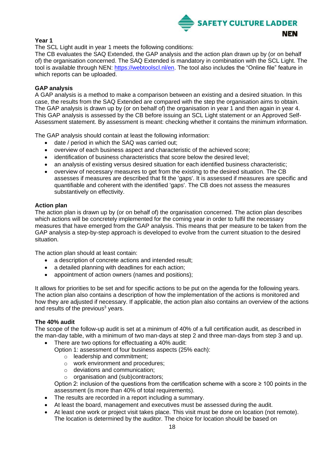

#### **Year 1**

The SCL Light audit in year 1 meets the following conditions:

The CB evaluates the SAQ Extended, the GAP analysis and the action plan drawn up by (or on behalf of) the organisation concerned. The SAQ Extended is mandatory in combination with the SCL Light. The tool is available through NEN: [https://webtoolscl.nl/en.](https://webtoolscl.nl/en) The tool also includes the "Online file" feature in which reports can be uploaded.

#### **GAP analysis**

A GAP analysis is a method to make a comparison between an existing and a desired situation. In this case, the results from the SAQ Extended are compared with the step the organisation aims to obtain. The GAP analysis is drawn up by (or on behalf of) the organisation in year 1 and then again in year 4. This GAP analysis is assessed by the CB before issuing an SCL Light statement or an Approved Self-Assessment statement. By assessment is meant: checking whether it contains the minimum information.

The GAP analysis should contain at least the following information:

- date / period in which the SAQ was carried out;
- overview of each business aspect and characteristic of the achieved score;
- identification of business characteristics that score below the desired level;
- an analysis of existing versus desired situation for each identified business characteristic;
- overview of necessary measures to get from the existing to the desired situation. The CB assesses if measures are described that fit the 'gaps'. It is assessed if measures are specific and quantifiable and coherent with the identified 'gaps'. The CB does not assess the measures substantively on effectivity.

#### **Action plan**

The action plan is drawn up by (or on behalf of) the organisation concerned. The action plan describes which actions will be concretely implemented for the coming year in order to fulfil the necessary measures that have emerged from the GAP analysis. This means that per measure to be taken from the GAP analysis a step-by-step approach is developed to evolve from the current situation to the desired situation.

The action plan should at least contain:

- a description of concrete actions and intended result;
- a detailed planning with deadlines for each action;
- appointment of action owners (names and positions);

It allows for priorities to be set and for specific actions to be put on the agenda for the following years. The action plan also contains a description of how the implementation of the actions is monitored and how they are adjusted if necessary. If applicable, the action plan also contains an overview of the actions and results of the previous<sup>3</sup> years.

#### **The 40% audit**

The scope of the follow-up audit is set at a minimum of 40% of a full certification audit, as described in the man-day table, with a minimum of two man-days at step 2 and three man-days from step 3 and up.

There are two options for effectuating a 40% audit:

Option 1: assessment of four business aspects (25% each):

- o leadership and commitment;
- o work environment and procedures;
- o deviations and communication;
- o organisation and (sub)contractors;

Option 2: inclusion of the questions from the certification scheme with a score  $\geq 100$  points in the assessment (is more than 40% of total requirements).

- The results are recorded in a report including a summary.
- At least the board, management and executives must be assessed during the audit.
- At least one work or project visit takes place. This visit must be done on location (not remote). The location is determined by the auditor. The choice for location should be based on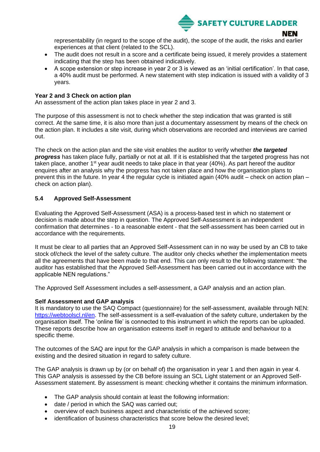

representability (in regard to the scope of the audit), the scope of the audit, the risks and earlier experiences at that client (related to the SCL).

- The audit does not result in a score and a certificate being issued, it merely provides a statement indicating that the step has been obtained indicatively.
- A scope extension or step increase in year 2 or 3 is viewed as an 'initial certification'. In that case, a 40% audit must be performed. A new statement with step indication is issued with a validity of 3 years.

#### **Year 2 and 3 Check on action plan**

An assessment of the action plan takes place in year 2 and 3.

The purpose of this assessment is not to check whether the step indication that was granted is still correct. At the same time, it is also more than just a documentary assessment by means of the check on the action plan. It includes a site visit, during which observations are recorded and interviews are carried out.

The check on the action plan and the site visit enables the auditor to verify whether *the targeted progress* has taken place fully, partially or not at all. If it is established that the targeted progress has not taken place, another  $1<sup>st</sup>$  year audit needs to take place in that year (40%). As part hereof the auditor enquires after an analysis why the progress has not taken place and how the organisation plans to prevent this in the future. In year 4 the regular cycle is initiated again (40% audit – check on action plan – check on action plan).

#### <span id="page-18-0"></span>**5.4 Approved Self-Assessment**

Evaluating the Approved Self-Assessment (ASA) is a process-based test in which no statement or decision is made about the step in question. The Approved Self-Assessment is an independent confirmation that determines - to a reasonable extent - that the self-assessment has been carried out in accordance with the requirements.

It must be clear to all parties that an Approved Self-Assessment can in no way be used by an CB to take stock of/check the level of the safety culture. The auditor only checks whether the implementation meets all the agreements that have been made to that end. This can only result to the following statement: "the auditor has established that the Approved Self-Assessment has been carried out in accordance with the applicable NEN regulations."

The Approved Self Assessment includes a self-assessment, a GAP analysis and an action plan.

#### **Self Assessment and GAP analysis**

It is mandatory to use the SAQ Compact (questionnaire) for the self-assessment, available through NEN: [https://webtoolscl.nl/en.](https://webtoolscl.nl/en) The self-assessment is a self-evaluation of the safety culture, undertaken by the organisation itself. The 'online file' is connected to this instrument in which the reports can be uploaded. These reports describe how an organisation esteems itself in regard to attitude and behaviour to a specific theme.

The outcomes of the SAQ are input for the GAP analysis in which a comparison is made between the existing and the desired situation in regard to safety culture.

The GAP analysis is drawn up by (or on behalf of) the organisation in year 1 and then again in year 4. This GAP analysis is assessed by the CB before issuing an SCL Light statement or an Approved Self-Assessment statement. By assessment is meant: checking whether it contains the minimum information.

- The GAP analysis should contain at least the following information:
- date / period in which the SAQ was carried out;
- overview of each business aspect and characteristic of the achieved score;
- identification of business characteristics that score below the desired level;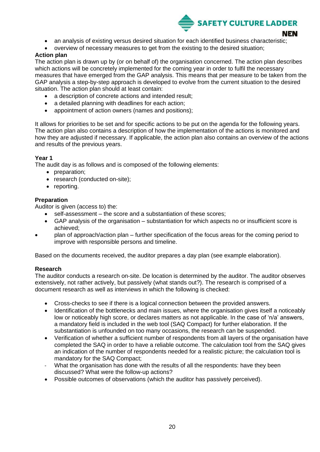

- an analysis of existing versus desired situation for each identified business characteristic;
	- overview of necessary measures to get from the existing to the desired situation;

#### **Action plan**

The action plan is drawn up by (or on behalf of) the organisation concerned. The action plan describes which actions will be concretely implemented for the coming year in order to fulfil the necessary measures that have emerged from the GAP analysis. This means that per measure to be taken from the GAP analysis a step-by-step approach is developed to evolve from the current situation to the desired situation. The action plan should at least contain:

- a description of concrete actions and intended result;
- a detailed planning with deadlines for each action;
- appointment of action owners (names and positions);

It allows for priorities to be set and for specific actions to be put on the agenda for the following years. The action plan also contains a description of how the implementation of the actions is monitored and how they are adjusted if necessary. If applicable, the action plan also contains an overview of the actions and results of the previous years.

#### **Year 1**

The audit day is as follows and is composed of the following elements:

- preparation;
- research (conducted on-site);
- reporting.

#### **Preparation**

Auditor is given (access to) the:

- self-assessment the score and a substantiation of these scores;
- GAP analysis of the organisation substantiation for which aspects no or insufficient score is achieved;
- plan of approach/action plan further specification of the focus areas for the coming period to improve with responsible persons and timeline.

Based on the documents received, the auditor prepares a day plan (see example elaboration).

#### **Research**

The auditor conducts a research on-site. De location is determined by the auditor. The auditor observes extensively, not rather actively, but passively (what stands out?). The research is comprised of a document research as well as interviews in which the following is checked:

- Cross-checks to see if there is a logical connection between the provided answers.
- Identification of the bottlenecks and main issues, where the organisation gives itself a noticeably low or noticeably high score, or declares matters as not applicable. In the case of 'n/a' answers, a mandatory field is included in the web tool (SAQ Compact) for further elaboration. If the substantiation is unfounded on too many occasions, the research can be suspended.
- Verification of whether a sufficient number of respondents from all layers of the organisation have completed the SAQ in order to have a reliable outcome. The calculation tool from the SAQ gives an indication of the number of respondents needed for a realistic picture; the calculation tool is mandatory for the SAQ Compact;
- What the organisation has done with the results of all the respondents: have they been discussed? What were the follow-up actions?
- Possible outcomes of observations (which the auditor has passively perceived).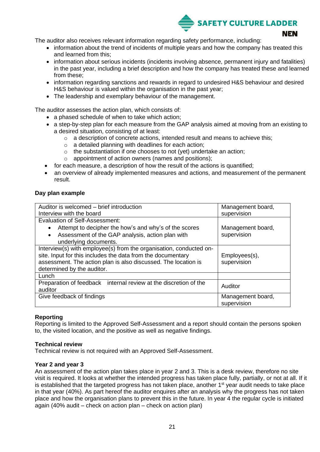

The auditor also receives relevant information regarding safety performance, including:

- information about the trend of incidents of multiple years and how the company has treated this and learned from this;
- information about serious incidents (incidents involving absence, permanent injury and fatalities) in the past year, including a brief description and how the company has treated these and learned from these;
- information regarding sanctions and rewards in regard to undesired H&S behaviour and desired H&S behaviour is valued within the organisation in the past year;
- The leadership and exemplary behaviour of the management.

The auditor assesses the action plan, which consists of:

- a phased schedule of when to take which action;
- a step-by-step plan for each measure from the GAP analysis aimed at moving from an existing to a desired situation, consisting of at least:
	- o a description of concrete actions, intended result and means to achieve this;
	- o a detailed planning with deadlines for each action;
	- o the substantiation if one chooses to not (yet) undertake an action;
	- o appointment of action owners (names and positions);
- for each measure, a description of how the result of the actions is quantified;
- an overview of already implemented measures and actions, and measurement of the permanent result.

#### **Day plan example**

| Auditor is welcomed – brief introduction                           | Management board, |  |  |
|--------------------------------------------------------------------|-------------------|--|--|
| Interview with the board                                           | supervision       |  |  |
| <b>Evaluation of Self-Assessment:</b>                              |                   |  |  |
| Attempt to decipher the how's and why's of the scores<br>$\bullet$ | Management board, |  |  |
| Assessment of the GAP analysis, action plan with<br>$\bullet$      | supervision       |  |  |
| underlying documents.                                              |                   |  |  |
| Interview(s) with employee(s) from the organisation, conducted on- |                   |  |  |
| site. Input for this includes the data from the documentary        | Employees(s),     |  |  |
| assessment. The action plan is also discussed. The location is     | supervision       |  |  |
| determined by the auditor.                                         |                   |  |  |
| Lunch                                                              |                   |  |  |
| Preparation of feedback internal review at the discretion of the   | Auditor           |  |  |
| auditor                                                            |                   |  |  |
| Give feedback of findings                                          | Management board, |  |  |
|                                                                    | supervision       |  |  |

#### **Reporting**

Reporting is limited to the Approved Self-Assessment and a report should contain the persons spoken to, the visited location, and the positive as well as negative findings.

#### **Technical review**

Technical review is not required with an Approved Self-Assessment.

#### **Year 2 and year 3**

An assessment of the action plan takes place in year 2 and 3. This is a desk review, therefore no site visit is required. It looks at whether the intended progress has taken place fully, partially, or not at all. If it is established that the targeted progress has not taken place, another 1<sup>st</sup> year audit needs to take place in that year (40%). As part hereof the auditor enquires after an analysis why the progress has not taken place and how the organisation plans to prevent this in the future. In year 4 the regular cycle is initiated again (40% audit – check on action plan – check on action plan)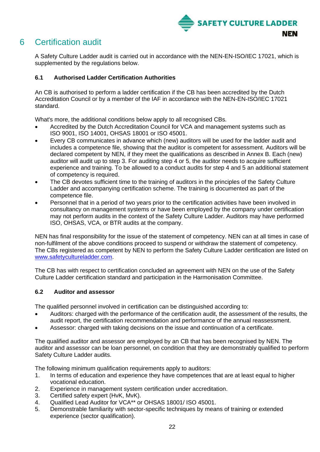

## <span id="page-21-0"></span>6 Certification audit

A Safety Culture Ladder audit is carried out in accordance with the NEN-EN-ISO/IEC 17021, which is supplemented by the regulations below.

#### <span id="page-21-1"></span>**6.1 Authorised Ladder Certification Authorities**

An CB is authorised to perform a ladder certification if the CB has been accredited by the Dutch Accreditation Council or by a member of the IAF in accordance with the NEN-EN-ISO/IEC 17021 standard.

What's more, the additional conditions below apply to all recognised CBs.

- Accredited by the Dutch Accreditation Council for VCA and management systems such as ISO 9001, ISO 14001, OHSAS 18001 or ISO 45001.
- Every CB communicates in advance which (new) auditors will be used for the ladder audit and includes a competence file, showing that the auditor is competent for assessment. Auditors will be declared competent by NEN, if they meet the qualifications as described in Annex B. Each (new) auditor will audit up to step 3. For auditing step 4 or 5, the auditor needs to acquire sufficient experience and training. To be allowed to a conduct audits for step 4 and 5 an additional statement of competency is required.
- The CB devotes sufficient time to the training of auditors in the principles of the Safety Culture Ladder and accompanying certification scheme. The training is documented as part of the competence file.
- Personnel that in a period of two years prior to the certification activities have been involved in consultancy on management systems or have been employed by the company under certification may not perform audits in the context of the Safety Culture Ladder. Auditors may have performed ISO, OHSAS, VCA, or BTR audits at the company.

NEN has final responsibility for the issue of the statement of competency. NEN can at all times in case of non-fulfilment of the above conditions proceed to suspend or withdraw the statement of competency. The CBs registered as competent by NEN to perform the Safety Culture Ladder certification are listed on [www.safetycultureladder.com.](http://www.safetycultureladder.com/)

The CB has with respect to certification concluded an agreement with NEN on the use of the Safety Culture Ladder certification standard and participation in the Harmonisation Committee.

#### <span id="page-21-2"></span>**6.2 Auditor and assessor**

The qualified personnel involved in certification can be distinguished according to:

- Auditors: charged with the performance of the certification audit, the assessment of the results, the audit report, the certification recommendation and performance of the annual reassessment.
- Assessor: charged with taking decisions on the issue and continuation of a certificate.

The qualified auditor and assessor are employed by an CB that has been recognised by NEN. The auditor and assessor can be loan personnel, on condition that they are demonstrably qualified to perform Safety Culture Ladder audits.

The following minimum qualification requirements apply to auditors:

- 1. In terms of education and experience they have competences that are at least equal to higher vocational education.
- 2. Experience in management system certification under accreditation.
- 3. Certified safety expert (HvK, MvK).
- 4. Qualified Lead Auditor for VCA\*\* or OHSAS 18001/ ISO 45001.
- 5. Demonstrable familiarity with sector-specific techniques by means of training or extended experience (sector qualification).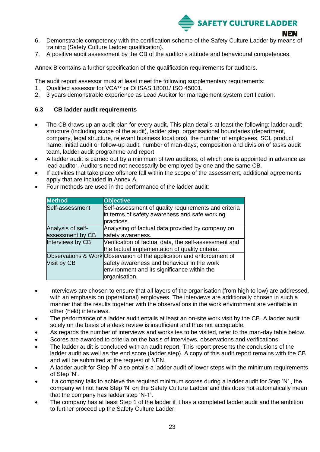

- 6. Demonstrable competency with the certification scheme of the Safety Culture Ladder by means of training (Safety Culture Ladder qualification).
- 7. A positive audit assessment by the CB of the auditor's attitude and behavioural competences.

Annex B contains a further specification of the qualification requirements for auditors.

The audit report assessor must at least meet the following supplementary requirements:

- 1. Qualified assessor for VCA\*\* or OHSAS 18001/ ISO 45001.
- 2. 3 years demonstrable experience as Lead Auditor for management system certification.

#### <span id="page-22-0"></span>**6.3 CB ladder audit requirements**

- The CB draws up an audit plan for every audit. This plan details at least the following: ladder audit structure (including scope of the audit), ladder step, organisational boundaries (department, company, legal structure, relevant business locations), the number of employees, SCL product name, initial audit or follow-up audit, number of man-days, composition and division of tasks audit team, ladder audit programme and report.
- A ladder audit is carried out by a minimum of two auditors, of which one is appointed in advance as lead auditor. Auditors need not necessarily be employed by one and the same CB.
- If activities that take place offshore fall within the scope of the assessment, additional agreements apply that are included in Annex A.

|  | Four methods are used in the performance of the ladder audit: |  |  |  |  |
|--|---------------------------------------------------------------|--|--|--|--|
|--|---------------------------------------------------------------|--|--|--|--|

| <b>Method</b>     | <b>Objective</b>                                                      |
|-------------------|-----------------------------------------------------------------------|
| Self-assessment   | Self-assessment of quality requirements and criteria                  |
|                   | in terms of safety awareness and safe working                         |
|                   | practices.                                                            |
| Analysis of self- | Analysing of factual data provided by company on                      |
| assessment by CB  | safety awareness.                                                     |
| Interviews by CB  | Verification of factual data, the self-assessment and                 |
|                   | the factual implementation of quality criteria.                       |
|                   | Observations & Work Observation of the application and enforcement of |
| Visit by CB       | safety awareness and behaviour in the work                            |
|                   | environment and its significance within the                           |
|                   | organisation.                                                         |

- Interviews are chosen to ensure that all layers of the organisation (from high to low) are addressed, with an emphasis on (operational) employees. The interviews are additionally chosen in such a manner that the results together with the observations in the work environment are verifiable in other (held) interviews.
- The performance of a ladder audit entails at least an on-site work visit by the CB. A ladder audit solely on the basis of a desk review is insufficient and thus not acceptable.
- As regards the number of interviews and worksites to be visited, refer to the man-day table below.
- Scores are awarded to criteria on the basis of interviews, observations and verifications.
- The ladder audit is concluded with an audit report. This report presents the conclusions of the ladder audit as well as the end score (ladder step). A copy of this audit report remains with the CB and will be submitted at the request of NEN.
- A ladder audit for Step 'N' also entails a ladder audit of lower steps with the minimum requirements of Step 'N'.
- If a company fails to achieve the required minimum scores during a ladder audit for Step 'N' , the company will not have Step 'N' on the Safety Culture Ladder and this does not automatically mean that the company has ladder step 'N-1'.
- The company has at least Step 1 of the ladder if it has a completed ladder audit and the ambition to further proceed up the Safety Culture Ladder.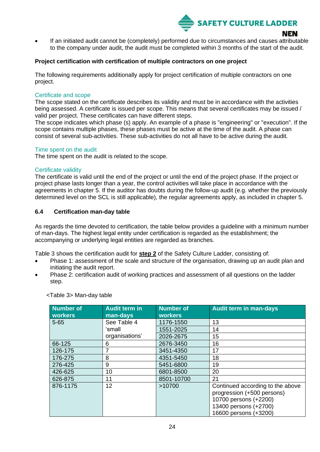**SAFETY CULTURE LADDER** 

If an initiated audit cannot be (completely) performed due to circumstances and causes attributable to the company under audit, the audit must be completed within 3 months of the start of the audit.

#### **Project certification with certification of multiple contractors on one project**

The following requirements additionally apply for project certification of multiple contractors on one project.

#### Certificate and scope

The scope stated on the certificate describes its validity and must be in accordance with the activities being assessed. A certificate is issued per scope. This means that several certificates may be issued / valid per project. These certificates can have different steps.

The scope indicates which phase (s) apply. An example of a phase is "engineering" or "execution". If the scope contains multiple phases, these phases must be active at the time of the audit. A phase can consist of several sub-activities. These sub-activities do not all have to be active during the audit.

#### Time spent on the audit

The time spent on the audit is related to the scope.

#### Certificate validity

The certificate is valid until the end of the project or until the end of the project phase. If the project or project phase lasts longer than a year, the control activities will take place in accordance with the agreements in chapter 5. If the auditor has doubts during the follow-up audit (e.g. whether the previously determined level on the SCL is still applicable), the regular agreements apply, as included in chapter 5.

#### <span id="page-23-0"></span>**6.4 Certification man-day table**

As regards the time devoted to certification, the table below provides a guideline with a minimum number of man-days. The highest legal entity under certification is regarded as the establishment; the accompanying or underlying legal entities are regarded as branches.

Table 3 shows the certification audit for **step 2** of the Safety Culture Ladder, consisting of:

- Phase 1: assessment of the scale and structure of the organisation, drawing up an audit plan and initiating the audit report.
- Phase 2: certification audit of working practices and assessment of all questions on the ladder step.

| Number of<br>workers | <b>Audit term in</b><br>man-days | <b>Number of</b><br><b>workers</b> | <b>Audit term in man-days</b>    |
|----------------------|----------------------------------|------------------------------------|----------------------------------|
| $5 - 65$             | See Table 4                      | 1176-1550                          | 13                               |
|                      | ʻsmall                           | 1551-2025                          | 14                               |
|                      | organisations'                   | 2026-2675                          | 15                               |
| 66-125               | 6                                | 2676-3450                          | 16                               |
| 126-175              | 7                                | 3451-4350                          | 17                               |
| 176-275              | 8                                | 4351-5450                          | 18                               |
| 276-425              | 9                                | 5451-6800                          | 19                               |
| 426-625              | 10                               | 6801-8500                          | 20                               |
| 626-875              | 11                               | 8501-10700                         | 21                               |
| 876-1175             | 12 <sub>2</sub>                  | >10700                             | Continued according to the above |
|                      |                                  |                                    | progression (+500 persons)       |
|                      |                                  |                                    | 10700 persons (+2200)            |
|                      |                                  |                                    | 13400 persons (+2700)            |
|                      |                                  |                                    | 16600 persons (+3200)            |

<Table 3> Man-day table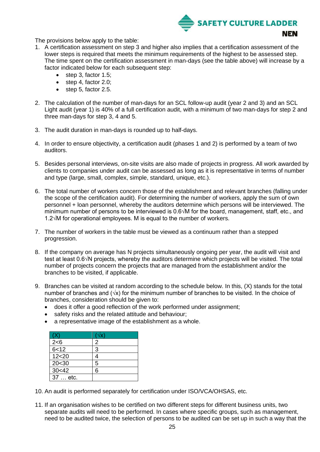

The provisions below apply to the table:

- 1. A certification assessment on step 3 and higher also implies that a certification assessment of the lower steps is required that meets the minimum requirements of the highest to be assessed step. The time spent on the certification assessment in man-days (see the table above) will increase by a factor indicated below for each subsequent step:
	- step 3, factor 1.5;
	- step 4, factor 2.0;
	- step 5, factor 2.5.
- 2. The calculation of the number of man-days for an SCL follow-up audit (year 2 and 3) and an SCL Light audit (year 1) is 40% of a full certification audit, with a minimum of two man-days for step 2 and three man-days for step 3, 4 and 5.
- 3. The audit duration in man-days is rounded up to half-days.
- 4. In order to ensure objectivity, a certification audit (phases 1 and 2) is performed by a team of two auditors.
- 5. Besides personal interviews, on-site visits are also made of projects in progress. All work awarded by clients to companies under audit can be assessed as long as it is representative in terms of number and type (large, small, complex, simple, standard, unique, etc.).
- 6. The total number of workers concern those of the establishment and relevant branches (falling under the scope of the certification audit). For determining the number of workers, apply the sum of own personnel + loan personnel, whereby the auditors determine which persons will be interviewed. The minimum number of persons to be interviewed is 0.6√M for the board, management, staff, etc., and 1.2√M for operational employees. M is equal to the number of workers.
- 7. The number of workers in the table must be viewed as a continuum rather than a stepped progression.
- 8. If the company on average has N projects simultaneously ongoing per year, the audit will visit and test at least 0.6√N projects, whereby the auditors determine which projects will be visited. The total number of projects concern the projects that are managed from the establishment and/or the branches to be visited, if applicable.
- 9. Branches can be visited at random according to the schedule below. In this, (X) stands for the total number of branches and ( $\sqrt{x}$ ) for the minimum number of branches to be visited. In the choice of branches, consideration should be given to:
	- does it offer a good reflection of the work performed under assignment;
	- safety risks and the related attitude and behaviour;
	- a representative image of the establishment as a whole.

|          | VXI |
|----------|-----|
| 2 < 6    | 2   |
| 6 < 12   | 3   |
| 12 < 20  |     |
| 20<30    | 5   |
| 30<42    | հ   |
| 37  etc. |     |

- 10. An audit is performed separately for certification under ISO/VCA/OHSAS, etc.
- 11. If an organisation wishes to be certified on two different steps for different business units, two separate audits will need to be performed. In cases where specific groups, such as management, need to be audited twice, the selection of persons to be audited can be set up in such a way that the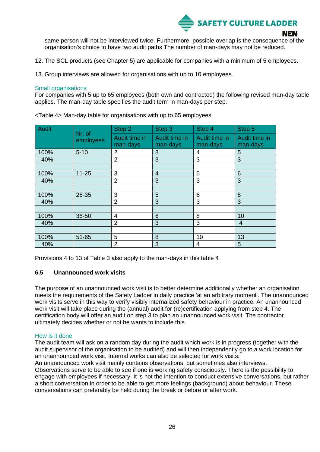

same person will not be interviewed twice. Furthermore, possible overlap is the consequence of the organisation's choice to have two audit paths The number of man-days may not be reduced.

12. The SCL products (see Chapter 5) are applicable for companies with a minimum of 5 employees.

13. Group interviews are allowed for organisations with up to 10 employees.

#### Small organisations

For companies with 5 up to 65 employees (both own and contracted) the following revised man-day table applies. The man-day table specifies the audit term in man-days per step.

| <b>Audit</b> | Nr. of    | Step 2         | Step 3         | Step 4        | Step 5         |
|--------------|-----------|----------------|----------------|---------------|----------------|
|              | employees | Audit time in  | Audit time in  | Audit time in | Audit time in  |
|              |           | man-days       | man-days       | man-days      | man-days       |
| 100%         | $5 - 10$  | 2              | 3              | 4             | 5              |
| 40%          |           | $\overline{2}$ | 3              | 3             | 3              |
|              |           |                |                |               |                |
| 100%         | $11 - 25$ | 3              | $\overline{4}$ | 5             | 6              |
| 40%          |           | $\overline{2}$ | 3              | 3             | 3              |
|              |           |                |                |               |                |
| 100%         | 26-35     | 3              | 5              | 6             | 8              |
| 40%          |           | 2              | 3              | 3             | 3              |
|              |           |                |                |               |                |
| 100%         | 36-50     | $\overline{4}$ | 6              | 8             | 10             |
| 40%          |           | $\overline{2}$ | 3              | 3             | $\overline{4}$ |
|              |           |                |                |               |                |
| 100%         | 51-65     | 5              | 8              | 10            | 13             |
| 40%          |           | $\overline{2}$ | 3              | 4             | 5              |

<Table 4> Man-day table for organisations with up to 65 employees

Provisions 4 to 13 of Table 3 also apply to the man-days in this table 4

#### <span id="page-25-0"></span>**6.5 Unannounced work visits**

The purpose of an unannounced work visit is to better determine additionally whether an organisation meets the requirements of the Safety Ladder in daily practice 'at an arbitrary moment'. The unannounced work visits serve in this way to verify visibly internalized safety behaviour in practice. An unannounced work visit will take place during the (annual) audit for (re)certification applying from step 4. The certification body will offer an audit on step 3 to plan an unannounced work visit. The contractor ultimately decides whether or not he wants to include this.

#### How is it done

The audit team will ask on a random day during the audit which work is in progress (together with the audit supervisor of the organisation to be audited) and will then independently go to a work location for an unannounced work visit. Internal works can also be selected for work visits.

An unannounced work visit mainly contains observations, but sometimes also interviews.

Observations serve to be able to see if one is working safety consciously. There is the possibility to engage with employees if necessary. It is not the intention to conduct extensive conversations, but rather a short conversation in order to be able to get more feelings (background) about behaviour. These conversations can preferably be held during the break or before or after work.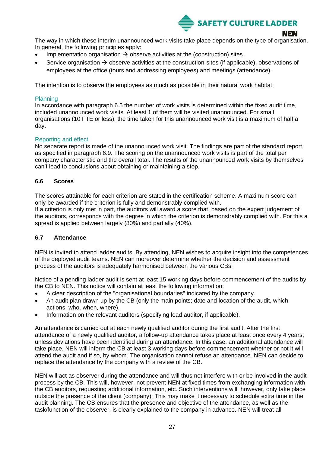

The way in which these interim unannounced work visits take place depends on the type of organisation. In general, the following principles apply:

- Implementation organisation  $\rightarrow$  observe activities at the (construction) sites.
- Service organisation  $\rightarrow$  observe activities at the construction-sites (if applicable), observations of employees at the office (tours and addressing employees) and meetings (attendance).

The intention is to observe the employees as much as possible in their natural work habitat.

#### Planning

In accordance with paragraph 6.5 the number of work visits is determined within the fixed audit time, included unannounced work visits. At least 1 of them will be visited unannounced. For small organisations (10 FTE or less), the time taken for this unannounced work visit is a maximum of half a day.

#### Reporting and effect

No separate report is made of the unannounced work visit. The findings are part of the standard report, as specified in paragraph 6.9. The scoring on the unannounced work visits is part of the total per company characteristic and the overall total. The results of the unannounced work visits by themselves can't lead to conclusions about obtaining or maintaining a step.

#### <span id="page-26-0"></span>**6.6 Scores**

The scores attainable for each criterion are stated in the certification scheme. A maximum score can only be awarded if the criterion is fully and demonstrably complied with.

If a criterion is only met in part, the auditors will award a score that, based on the expert judgement of the auditors, corresponds with the degree in which the criterion is demonstrably complied with. For this a spread is applied between largely (80%) and partially (40%).

#### <span id="page-26-1"></span>**6.7 Attendance**

NEN is invited to attend ladder audits. By attending, NEN wishes to acquire insight into the competences of the deployed audit teams. NEN can moreover determine whether the decision and assessment process of the auditors is adequately harmonised between the various CBs.

Notice of a pending ladder audit is sent at least 15 working days before commencement of the audits by the CB to NEN. This notice will contain at least the following information:

- A clear description of the "organisational boundaries" indicated by the company.
- An audit plan drawn up by the CB (only the main points; date and location of the audit, which actions, who, when, where).
- Information on the relevant auditors (specifying lead auditor, if applicable).

An attendance is carried out at each newly qualified auditor during the first audit. After the first attendance of a newly qualified auditor, a follow-up attendance takes place at least once every 4 years, unless deviations have been identified during an attendance. In this case, an additional attendance will take place. NEN will inform the CB at least 3 working days before commencement whether or not it will attend the audit and if so, by whom. The organisation cannot refuse an attendance. NEN can decide to replace the attendance by the company with a review of the CB.

NEN will act as observer during the attendance and will thus not interfere with or be involved in the audit process by the CB. This will, however, not prevent NEN at fixed times from exchanging information with the CB auditors, requesting additional information, etc. Such interventions will, however, only take place outside the presence of the client (company). This may make it necessary to schedule extra time in the audit planning. The CB ensures that the presence and objective of the attendance, as well as the task/function of the observer, is clearly explained to the company in advance. NEN will treat all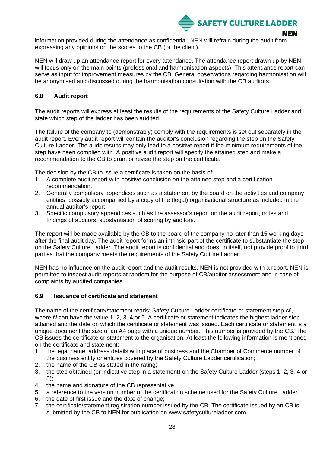

NEN

information provided during the attendance as confidential. NEN will refrain during the audit from expressing any opinions on the scores to the CB (or the client).

NEN will draw up an attendance report for every attendance. The attendance report drawn up by NEN will focus only on the main points (professional and harmonisation aspects). This attendance report can serve as input for improvement measures by the CB. General observations regarding harmonisation will be anonymised and discussed during the harmonisation consultation with the CB auditors.

#### <span id="page-27-0"></span>**6.8 Audit report**

The audit reports will express at least the results of the requirements of the Safety Culture Ladder and state which step of the ladder has been audited.

The failure of the company to (demonstrably) comply with the requirements is set out separately in the audit report. Every audit report will contain the auditor's conclusion regarding the step on the Safety Culture Ladder. The audit results may only lead to a positive report if the minimum requirements of the step have been complied with. A positive audit report will specify the attained step and make a recommendation to the CB to grant or revise the step on the certificate.

The decision by the CB to issue a certificate is taken on the basis of:

- 1. A complete audit report with positive conclusion on the attained step and a certification recommendation.
- 2. Generally compulsory appendices such as a statement by the board on the activities and company entities, possibly accompanied by a copy of the (legal) organisational structure as included in the annual auditor's report.
- 3. Specific compulsory appendices such as the assessor's report on the audit report, notes and findings of auditors, substantiation of scoring by auditors.

The report will be made available by the CB to the board of the company no later than 15 working days after the final audit day. The audit report forms an intrinsic part of the certificate to substantiate the step on the Safety Culture Ladder. The audit report is confidential and does, in itself, not provide proof to third parties that the company meets the requirements of the Safety Culture Ladder.

NEN has no influence on the audit report and the audit results. NEN is not provided with a report. NEN is permitted to inspect audit reports at random for the purpose of CB/auditor assessment and in case of complaints by audited companies.

#### <span id="page-27-1"></span>**6.9 Issuance of certificate and statement**

The name of the certificate/statement reads: Safety Culture Ladder certificate or statement step *N*', where *N* can have the value 1, 2, 3, 4 or 5. A certificate or statement indicates the highest ladder step attained and the date on which the certificate or statement was issued. Each certificate or statement is a unique document the size of an A4 page with a unique number. This number is provided by the CB. The CB issues the certificate or statement to the organisation. At least the following information is mentioned on the certificate and statement:

- 1. the legal name, address details with place of business and the Chamber of Commerce number of the business entity or entities covered by the Safety Culture Ladder certification;
- 2. the name of the CB as stated in the rating;
- 3. the step obtained (or indicative step in a statement) on the Safety Culture Ladder (steps 1, 2, 3, 4 or 5);
- 4. the name and signature of the CB representative.
- 5. a reference to the version number of the certification scheme used for the Safety Culture Ladder.
- 6. the date of first issue and the date of change;
- 7. the certificate/statement registration number issued by the CB. The certificate issued by an CB is submitted by the CB to NEN for publication on www.safetycultureladder.com.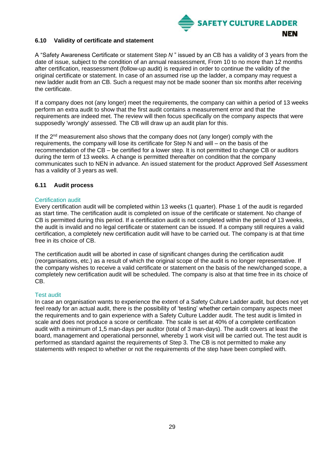

#### <span id="page-28-0"></span>**6.10 Validity of certificate and statement**

A "Safety Awareness Certificate or statement Step *N* " issued by an CB has a validity of 3 years from the date of issue, subject to the condition of an annual reassessment, From 10 to no more than 12 months after certification, reassessment (follow-up audit) is required in order to continue the validity of the original certificate or statement. In case of an assumed rise up the ladder, a company may request a new ladder audit from an CB. Such a request may not be made sooner than six months after receiving the certificate.

If a company does not (any longer) meet the requirements, the company can within a period of 13 weeks perform an extra audit to show that the first audit contains a measurement error and that the requirements are indeed met. The review will then focus specifically on the company aspects that were supposedly 'wrongly' assessed. The CB will draw up an audit plan for this.

If the 2<sup>nd</sup> measurement also shows that the company does not (any longer) comply with the requirements, the company will lose its certificate for Step N and will – on the basis of the recommendation of the CB – be certified for a lower step. It is not permitted to change CB or auditors during the term of 13 weeks. A change is permitted thereafter on condition that the company communicates such to NEN in advance. An issued statement for the product Approved Self Assessment has a validity of 3 years as well.

#### <span id="page-28-1"></span>**6.11 Audit process**

#### Certification audit

Every certification audit will be completed within 13 weeks (1 quarter). Phase 1 of the audit is regarded as start time. The certification audit is completed on issue of the certificate or statement. No change of CB is permitted during this period. If a certification audit is not completed within the period of 13 weeks, the audit is invalid and no legal certificate or statement can be issued. If a company still requires a valid certification, a completely new certification audit will have to be carried out. The company is at that time free in its choice of CB.

The certification audit will be aborted in case of significant changes during the certification audit (reorganisations, etc.) as a result of which the original scope of the audit is no longer representative. If the company wishes to receive a valid certificate or statement on the basis of the new/changed scope, a completely new certification audit will be scheduled. The company is also at that time free in its choice of CB.

#### Test audit

In case an organisation wants to experience the extent of a Safety Culture Ladder audit, but does not yet feel ready for an actual audit, there is the possibility of 'testing' whether certain company aspects meet the requirements and to gain experience with a Safety Culture Ladder audit. The test audit is limited in scale and does not produce a score or certificate. The scale is set at 40% of a complete certification audit with a minimum of 1,5 man-days per auditor (total of 3 man-days). The audit covers at least the board, management and operational personnel, whereby 1 work visit will be carried out. The test audit is performed as standard against the requirements of Step 3. The CB is not permitted to make any statements with respect to whether or not the requirements of the step have been complied with.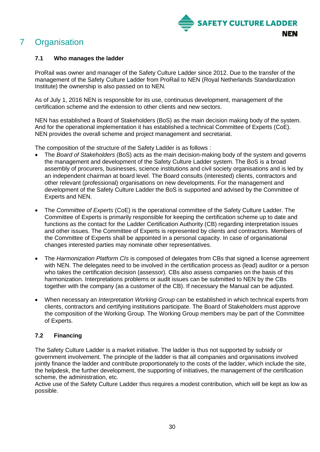

## <span id="page-29-0"></span>7 Organisation

#### <span id="page-29-1"></span>**7.1 Who manages the ladder**

ProRail was owner and manager of the Safety Culture Ladder since 2012. Due to the transfer of the management of the Safety Culture Ladder from ProRail to NEN (Royal Netherlands Standardization Institute) the ownership is also passed on to NEN.

As of July 1, 2016 NEN is responsible for its use, continuous development, management of the certification scheme and the extension to other clients and new sectors.

NEN has established a Board of Stakeholders (BoS) as the main decision making body of the system. And for the operational implementation it has established a technical Committee of Experts (CoE). NEN provides the overall scheme and project management and secretariat.

The composition of the structure of the Safety Ladder is as follows :

- The *Board of Stakeholders* (BoS) acts as the main decision-making body of the system and governs the management and development of the Safety Culture Ladder system. The BoS is a broad assembly of procurers, businesses, science institutions and civil society organisations and is led by an independent chairman at board level. The Board consults (interested) clients, contractors and other relevant (professional) organisations on new developments. For the management and development of the Safety Culture Ladder the BoS is supported and advised by the Committee of Experts and NEN.
- The *Committee of Experts* (CoE) is the operational committee of the Safety Culture Ladder. The Committee of Experts is primarily responsible for keeping the certification scheme up to date and functions as the contact for the Ladder Certification Authority (CB) regarding interpretation issues and other issues. The Committee of Experts is represented by clients and contractors. Members of the Committee of Experts shall be appointed in a personal capacity. In case of organisational changes interested parties may nominate other representatives.
- The *Harmonization Platform CIs* is composed of delegates from CBs that signed a license agreement with NEN. The delegates need to be involved in the certification process as (lead) auditor or a person who takes the certification decision (assessor). CBs also assess companies on the basis of this harmonization. Interpretations problems or audit issues can be submitted to NEN by the CBs together with the company (as a customer of the CB). If necessary the Manual can be adjusted.
- When necessary an *Interpretation Working Group* can be established in which technical experts from clients, contractors and certifying institutions participate. The Board of Stakeholders must approve the composition of the Working Group. The Working Group members may be part of the Committee of Experts.

### <span id="page-29-2"></span>**7.2 Financing**

The Safety Culture Ladder is a market initiative. The ladder is thus not supported by subsidy or government involvement. The principle of the ladder is that all companies and organisations involved jointly finance the ladder and contribute proportionately to the costs of the ladder, which include the site, the helpdesk, the further development, the supporting of initiatives, the management of the certification scheme, the administration, etc.

Active use of the Safety Culture Ladder thus requires a modest contribution, which will be kept as low as possible.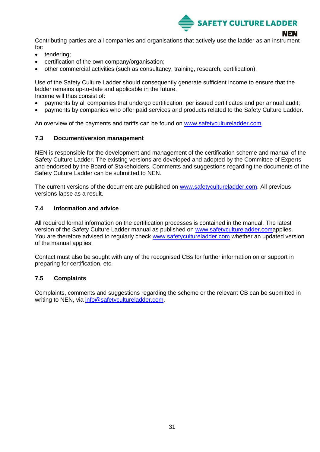

Contributing parties are all companies and organisations that actively use the ladder as an instrument for:

- tendering;
- certification of the own company/organisation;
- other commercial activities (such as consultancy, training, research, certification).

Use of the Safety Culture Ladder should consequently generate sufficient income to ensure that the ladder remains up-to-date and applicable in the future. Income will thus consist of:

- payments by all companies that undergo certification, per issued certificates and per annual audit;
- payments by companies who offer paid services and products related to the Safety Culture Ladder.

An overview of the payments and tariffs can be found on [www.safetycultureladder.com.](http://www.safetycultureladder.com/)

#### <span id="page-30-0"></span>**7.3 Document/version management**

NEN is responsible for the development and management of the certification scheme and manual of the Safety Culture Ladder. The existing versions are developed and adopted by the Committee of Experts and endorsed by the Board of Stakeholders. Comments and suggestions regarding the documents of the Safety Culture Ladder can be submitted to NEN.

The current versions of the document are published on [www.safetycultureladder.com.](http://www.safetycultureladder.com/) All previous versions lapse as a result.

#### <span id="page-30-1"></span>**7.4 Information and advice**

All required formal information on the certification processes is contained in the manual. The latest version of the Safety Culture Ladder manual as published on [www.safetycultureladder.coma](http://www.safetycultureladder.com/)pplies. You are therefore advised to regularly check [www.safetycultureladder.com](http://www.safetycultureladder.com/) whether an updated version of the manual applies.

Contact must also be sought with any of the recognised CBs for further information on or support in preparing for certification, etc.

#### <span id="page-30-2"></span>**7.5 Complaints**

Complaints, comments and suggestions regarding the scheme or the relevant CB can be submitted in writing to NEN, via [info@safetycultureladder.com.](file:///C:/Users/nkrijg/Documents/info@safetycultureladder.com)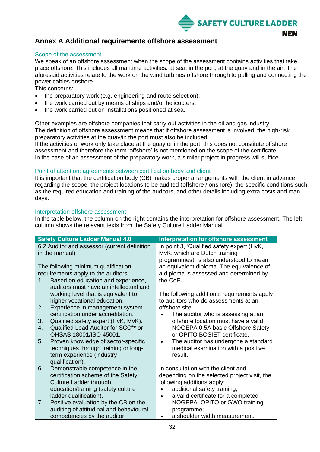

### <span id="page-31-0"></span>**Annex A Additional requirements offshore assessment**

#### Scope of the assessment

We speak of an offshore assessment when the scope of the assessment contains activities that take place offshore. This includes all maritime activities: at sea, in the port, at the quay and in the air. The aforesaid activities relate to the work on the wind turbines offshore through to pulling and connecting the power cables onshore.

This concerns:

- the preparatory work (e.g. engineering and route selection);
- the work carried out by means of ships and/or helicopters;
- the work carried out on installations positioned at sea.

Other examples are offshore companies that carry out activities in the oil and gas industry. The definition of offshore assessment means that if offshore assessment is involved, the high-risk preparatory activities at the quay/in the port must also be included.

If the activities or work only take place at the quay or in the port, this does not constitute offshore assessment and therefore the term 'offshore' is not mentioned on the scope of the certificate. In the case of an assessment of the preparatory work, a similar project in progress will suffice.

#### Point of attention: agreements between certification body and client

It is important that the certification body (CB) makes proper arrangements with the client in advance regarding the scope, the project locations to be audited (offshore / onshore), the specific conditions such as the required education and training of the auditors, and other details including extra costs and mandays.

#### Interpretation offshore assessment

In the table below, the column on the right contains the interpretation for offshore assessment. The left column shows the relevant texts from the Safety Culture Ladder Manual.

| <b>Safety Culture Ladder Manual 4.0</b>                                                                                                                | Interpretation for offshore assessment                                                                                 |
|--------------------------------------------------------------------------------------------------------------------------------------------------------|------------------------------------------------------------------------------------------------------------------------|
| 6.2 Auditor and assessor (current definition<br>in the manual)                                                                                         | In point 3, 'Qualified safety expert (HvK,<br>MvK, which are Dutch training<br>programmes)' is also understood to mean |
| The following minimum qualification<br>requirements apply to the auditors:<br>Based on education and experience,<br>1.                                 | an equivalent diploma. The equivalence of<br>a diploma is assessed and determined by<br>the CoE.                       |
| auditors must have an intellectual and<br>working level that is equivalent to<br>higher vocational education.<br>Experience in management system<br>2. | The following additional requirements apply<br>to auditors who do assessments at an<br>offshore site:                  |
| certification under accreditation.<br>Qualified safety expert (HvK, MvK).<br>3.                                                                        | The auditor who is assessing at an<br>offshore location must have a valid                                              |
| Qualified Lead Auditor for SCC** or<br>4.<br>OHSAS 18001/ISO 45001.                                                                                    | NOGEPA 0.5A basic Offshore Safety<br>or OPITO BOSIET certificate.                                                      |
| Proven knowledge of sector-specific<br>5.<br>techniques through training or long-<br>term experience (industry<br>qualification).                      | The auditor has undergone a standard<br>$\bullet$<br>medical examination with a positive<br>result.                    |
| Demonstrable competence in the<br>6.<br>certification scheme of the Safety<br><b>Culture Ladder through</b>                                            | In consultation with the client and<br>depending on the selected project visit, the<br>following additions apply:      |
| education/training (safety culture<br>ladder qualification).                                                                                           | additional safety training;<br>a valid certificate for a completed<br>$\bullet$                                        |
| Positive evaluation by the CB on the<br>7.<br>auditing of attitudinal and behavioural                                                                  | NOGEPA, OPITO or GWO training<br>programme;                                                                            |
| competencies by the auditor.                                                                                                                           | a shoulder width measurement.                                                                                          |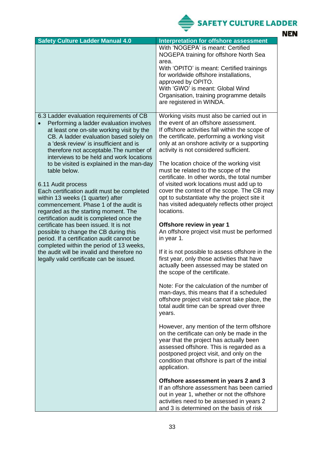SAFETY CULTURE LADDER

| <b>Safety Culture Ladder Manual 4.0</b>                                                |                                                                                              |
|----------------------------------------------------------------------------------------|----------------------------------------------------------------------------------------------|
|                                                                                        | <b>Interpretation for offshore assessment</b><br>With 'NOGEPA' is meant: Certified           |
|                                                                                        | NOGEPA training for offshore North Sea                                                       |
|                                                                                        | area.                                                                                        |
|                                                                                        | With 'OPITO' is meant: Certified trainings                                                   |
|                                                                                        | for worldwide offshore installations,                                                        |
|                                                                                        | approved by OPITO.<br>With 'GWO' is meant: Global Wind                                       |
|                                                                                        | Organisation, training programme details                                                     |
|                                                                                        | are registered in WINDA.                                                                     |
|                                                                                        |                                                                                              |
| 6.3 Ladder evaluation requirements of CB                                               | Working visits must also be carried out in                                                   |
| Performing a ladder evaluation involves                                                | the event of an offshore assessment.                                                         |
| at least one on-site working visit by the                                              | If offshore activities fall within the scope of                                              |
| CB. A ladder evaluation based solely on                                                | the certificate, performing a working visit                                                  |
| a 'desk review' is insufficient and is                                                 | only at an onshore activity or a supporting                                                  |
| therefore not acceptable. The number of<br>interviews to be held and work locations    | activity is not considered sufficient.                                                       |
| to be visited is explained in the man-day                                              | The location choice of the working visit                                                     |
| table below.                                                                           | must be related to the scope of the                                                          |
|                                                                                        | certificate. In other words, the total number                                                |
| 6.11 Audit process                                                                     | of visited work locations must add up to                                                     |
| Each certification audit must be completed                                             | cover the context of the scope. The CB may                                                   |
| within 13 weeks (1 quarter) after<br>commencement. Phase 1 of the audit is             | opt to substantiate why the project site it<br>has visited adequately reflects other project |
| regarded as the starting moment. The                                                   | locations.                                                                                   |
| certification audit is completed once the                                              |                                                                                              |
| certificate has been issued. It is not                                                 | Offshore review in year 1                                                                    |
| possible to change the CB during this                                                  | An offshore project visit must be performed                                                  |
| period. If a certification audit cannot be<br>completed within the period of 13 weeks, | in year 1.                                                                                   |
| the audit will be invalid and therefore no                                             | If it is not possible to assess offshore in the                                              |
| legally valid certificate can be issued.                                               | first year, only those activities that have                                                  |
|                                                                                        | actually been assessed may be stated on                                                      |
|                                                                                        | the scope of the certificate                                                                 |
|                                                                                        | Note: For the calculation of the number of                                                   |
|                                                                                        | man-days, this means that if a scheduled                                                     |
|                                                                                        | offshore project visit cannot take place, the                                                |
|                                                                                        | total audit time can be spread over three                                                    |
|                                                                                        | years.                                                                                       |
|                                                                                        |                                                                                              |
|                                                                                        | However, any mention of the term offshore                                                    |
|                                                                                        | on the certificate can only be made in the<br>year that the project has actually been        |
|                                                                                        | assessed offshore. This is regarded as a                                                     |
|                                                                                        | postponed project visit, and only on the                                                     |
|                                                                                        | condition that offshore is part of the initial                                               |
|                                                                                        | application.                                                                                 |
|                                                                                        |                                                                                              |
|                                                                                        | Offshore assessment in years 2 and 3<br>If an offshore assessment has been carried           |
|                                                                                        | out in year 1, whether or not the offshore                                                   |
|                                                                                        | activities need to be assessed in years 2                                                    |
|                                                                                        | and 3 is determined on the basis of risk                                                     |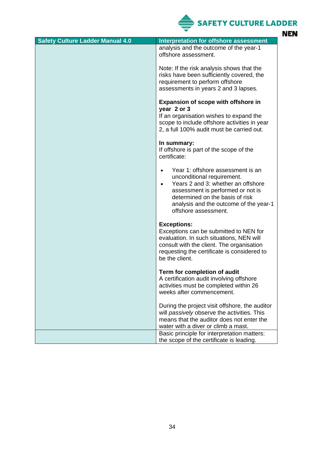SAFETY CULTURE LADDER **NEN** 

| <b>Safety Culture Ladder Manual 4.0</b> | <b>Interpretation for offshore assessment</b>                                                                                                                                                                                                                |
|-----------------------------------------|--------------------------------------------------------------------------------------------------------------------------------------------------------------------------------------------------------------------------------------------------------------|
|                                         | analysis and the outcome of the year-1<br>offshore assessment.                                                                                                                                                                                               |
|                                         | Note: If the risk analysis shows that the<br>risks have been sufficiently covered, the<br>requirement to perform offshore<br>assessments in years 2 and 3 lapses.                                                                                            |
|                                         | Expansion of scope with offshore in<br>year 2 or 3<br>If an organisation wishes to expand the<br>scope to include offshore activities in year<br>2, a full 100% audit must be carried out.                                                                   |
|                                         | In summary:<br>If offshore is part of the scope of the<br>certificate:                                                                                                                                                                                       |
|                                         | Year 1: offshore assessment is an<br>unconditional requirement.<br>Years 2 and 3: whether an offshore<br>$\bullet$<br>assessment is performed or not is<br>determined on the basis of risk<br>analysis and the outcome of the year-1<br>offshore assessment. |
|                                         | <b>Exceptions:</b><br>Exceptions can be submitted to NEN for<br>evaluation. In such situations, NEN will<br>consult with the client. The organisation<br>requesting the certificate is considered to<br>be the client.                                       |
|                                         | Term for completion of audit<br>A certification audit involving offshore<br>activities must be completed within 26<br>weeks after commencement.                                                                                                              |
|                                         | During the project visit offshore, the auditor<br>will passively observe the activities. This<br>means that the auditor does not enter the<br>water with a diver or climb a mast.                                                                            |
|                                         | Basic principle for interpretation matters:<br>the scope of the certificate is leading.                                                                                                                                                                      |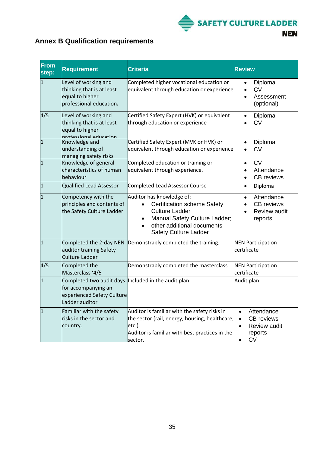

## <span id="page-34-0"></span>**Annex B Qualification requirements**

| <b>From</b><br>step: | <b>Requirement</b>                                                                                                          | <b>Criteria</b>                                                                                                                                                                         | <b>Review</b>                                                                  |
|----------------------|-----------------------------------------------------------------------------------------------------------------------------|-----------------------------------------------------------------------------------------------------------------------------------------------------------------------------------------|--------------------------------------------------------------------------------|
| $\mathbf{1}$         | Level of working and<br>thinking that is at least<br>equal to higher<br>professional education.                             | Completed higher vocational education or<br>equivalent through education or experience                                                                                                  | Diploma<br>$\bullet$<br>CV<br>Assessment<br>(optional)                         |
| 4/5                  | Level of working and<br>thinking that is at least<br>equal to higher<br>professional education                              | Certified Safety Expert (HVK) or equivalent<br>through education or experience                                                                                                          | Diploma<br><b>CV</b>                                                           |
| $\overline{1}$       | Knowledge and<br>understanding of<br>managing safety risks                                                                  | Certified Safety Expert (MVK or HVK) or<br>equivalent through education or experience                                                                                                   | Diploma<br><b>CV</b>                                                           |
| $\mathbf{1}$         | Knowledge of general<br>characteristics of human<br>behaviour                                                               | Completed education or training or<br>equivalent through experience.                                                                                                                    | <b>CV</b><br>Attendance<br><b>CB</b> reviews<br>$\bullet$                      |
| $\mathbf{1}$         | <b>Qualified Lead Assessor</b>                                                                                              | Completed Lead Assessor Course                                                                                                                                                          | Diploma<br>$\bullet$                                                           |
| 1                    | Competency with the<br>principles and contents of<br>the Safety Culture Ladder                                              | Auditor has knowledge of:<br><b>Certification scheme Safety</b><br><b>Culture Ladder</b><br>Manual Safety Culture Ladder;<br>other additional documents<br><b>Safety Culture Ladder</b> | Attendance<br>$\bullet$<br><b>CB</b> reviews<br><b>Review audit</b><br>reports |
| $\mathbf{1}$         | Completed the 2-day NEN<br>auditor training Safety<br>Culture Ladder                                                        | Demonstrably completed the training.                                                                                                                                                    | <b>NEN Participation</b><br>certificate                                        |
| 4/5                  | Completed the<br>Masterclass '4/5                                                                                           | Demonstrably completed the masterclass                                                                                                                                                  | <b>NEN Participation</b><br>certificate                                        |
| $\mathbf{1}$         | Completed two audit days  Included in the audit plan<br>for accompanying an<br>experienced Safety Culture<br>Ladder auditor |                                                                                                                                                                                         | Audit plan                                                                     |
| $\vert$ 1            | Familiar with the safety<br>risks in the sector and<br>country.                                                             | Auditor is familiar with the safety risks in<br>the sector (rail, energy, housing, healthcare,<br>$etc.$ ).<br>Auditor is familiar with best practices in the<br>sector.                | Attendance<br><b>CB</b> reviews<br>Review audit<br>reports<br>CV               |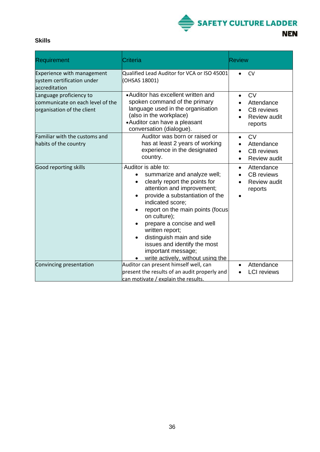

### **Skills**

| <b>Requirement</b>                                                                        | <b>Criteria</b>                                                                                                                                                                                                                                                                                                                                                                                                                 | <b>Review</b>                                                                  |
|-------------------------------------------------------------------------------------------|---------------------------------------------------------------------------------------------------------------------------------------------------------------------------------------------------------------------------------------------------------------------------------------------------------------------------------------------------------------------------------------------------------------------------------|--------------------------------------------------------------------------------|
| Experience with management<br>system certification under<br>accreditation                 | Qualified Lead Auditor for VCA or ISO 45001<br>(OHSAS 18001)                                                                                                                                                                                                                                                                                                                                                                    | <b>CV</b>                                                                      |
| Language proficiency to<br>communicate on each level of the<br>organisation of the client | •Auditor has excellent written and<br>spoken command of the primary<br>language used in the organisation<br>(also in the workplace)<br>•Auditor can have a pleasant<br>conversation (dialogue).                                                                                                                                                                                                                                 | <b>CV</b><br>Attendance<br><b>CB</b> reviews<br><b>Review audit</b><br>reports |
| Familiar with the customs and<br>habits of the country                                    | Auditor was born or raised or<br>has at least 2 years of working<br>experience in the designated<br>country.                                                                                                                                                                                                                                                                                                                    | <b>CV</b><br>Attendance<br><b>CB</b> reviews<br>Review audit                   |
| <b>Good reporting skills</b>                                                              | Auditor is able to:<br>summarize and analyze well;<br>clearly report the points for<br>$\bullet$<br>attention and improvement;<br>provide a substantiation of the<br>indicated score;<br>report on the main points (focus<br>$\bullet$<br>on culture);<br>prepare a concise and well<br>written report;<br>distinguish main and side<br>issues and identify the most<br>important message;<br>write actively, without using the | Attendance<br>$\bullet$<br><b>CB</b> reviews<br><b>Review audit</b><br>reports |
| Convincing presentation                                                                   | Auditor can present himself well, can<br>present the results of an audit properly and<br>can motivate / explain the results.                                                                                                                                                                                                                                                                                                    | Attendance<br><b>LCI</b> reviews                                               |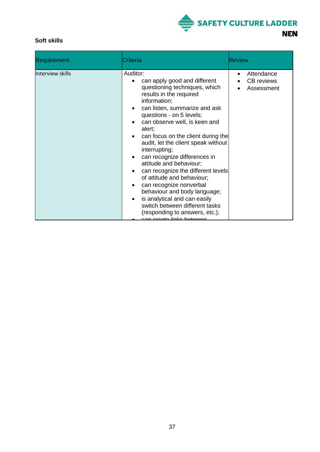

### **Soft skills**

| <b>Requirement</b>      | Criteria                                                                                                                                                                                                                                                                                                                                                                                                                                                                                                                                                                                                                                                                                                 | <b>Review</b>                                 |
|-------------------------|----------------------------------------------------------------------------------------------------------------------------------------------------------------------------------------------------------------------------------------------------------------------------------------------------------------------------------------------------------------------------------------------------------------------------------------------------------------------------------------------------------------------------------------------------------------------------------------------------------------------------------------------------------------------------------------------------------|-----------------------------------------------|
| <b>Interview skills</b> | Auditor:<br>can apply good and different<br>questioning techniques, which<br>results in the required<br>information;<br>can listen, summarize and ask<br>$\bullet$<br>questions - on 5 levels;<br>can observe well, is keen and<br>alert;<br>can focus on the client during the<br>audit, let the client speak without<br>interrupting;<br>can recognize differences in<br>$\bullet$<br>attitude and behaviour;<br>can recognize the different levels<br>of attitude and behaviour;<br>can recognize nonverbal<br>$\bullet$<br>behaviour and body language;<br>is analytical and can easily<br>$\bullet$<br>switch between different tasks<br>(responding to answers, etc.);<br>oon ereate linke hetween | Attendance<br><b>CB</b> reviews<br>Assessment |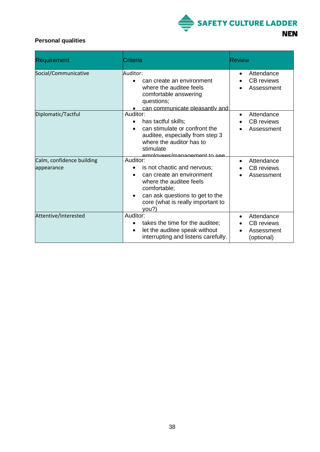

### **Personal qualities**

| Requirement                             | Criteria                                                                                                                                                                                                      | <b>Review</b>                                                     |
|-----------------------------------------|---------------------------------------------------------------------------------------------------------------------------------------------------------------------------------------------------------------|-------------------------------------------------------------------|
| Social/Communicative                    | Auditor:<br>can create an environment<br>$\bullet$<br>where the auditee feels<br>comfortable answering<br>questions;<br>can communicate pleasantly and                                                        | Attendance<br>$\bullet$<br>CB reviews<br>Assessment               |
| Diplomatic/Tactful                      | Auditor:<br>has tactful skills;<br>$\bullet$<br>can stimulate or confront the<br>auditee, especially from step 3<br>where the auditor has to<br>stimulate<br>employees/management to see                      | Attendance<br>$\bullet$<br><b>CB</b> reviews<br>Assessment        |
| Calm, confidence building<br>appearance | Auditor:<br>is not chaotic and nervous;<br>$\bullet$<br>can create an environment<br>where the auditee feels<br>comfortable;<br>can ask questions to get to the<br>core (what is really important to<br>you?) | Attendance<br>$\bullet$<br><b>CB</b> reviews<br>Assessment        |
| Attentive/Interested                    | Auditor:<br>takes the time for the auditee;<br>$\bullet$<br>let the auditee speak without<br>$\bullet$<br>interrupting and listens carefully.                                                                 | Attendance<br>$\bullet$<br>CB reviews<br>Assessment<br>(optional) |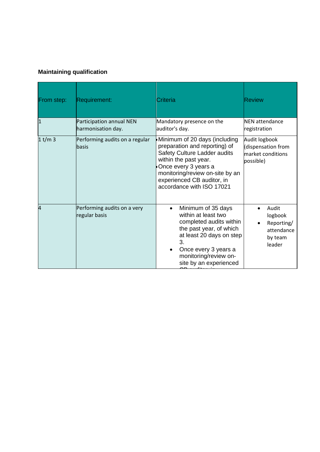### **Maintaining qualification**

| From step: | <b>Requirement:</b>                            | Criteria                                                                                                                                                                                                                                      | <b>Review</b>                                                         |
|------------|------------------------------------------------|-----------------------------------------------------------------------------------------------------------------------------------------------------------------------------------------------------------------------------------------------|-----------------------------------------------------------------------|
| 1          | Participation annual NEN<br>harmonisation day. | Mandatory presence on the<br>auditor's day.                                                                                                                                                                                                   | <b>NEN</b> attendance<br>registration                                 |
| $1$ t/m 3  | Performing audits on a regular<br>lbasis       | Minimum of 20 days (including<br>preparation and reporting) of<br>Safety Culture Ladder audits<br>within the past year.<br>Once every 3 years a<br>monitoring/review on-site by an<br>experienced CB auditor, in<br>accordance with ISO 17021 | Audit logbook<br>(dispensation from<br>market conditions<br>possible) |
| 4          | Performing audits on a very<br>regular basis   | Minimum of 35 days<br>$\bullet$<br>within at least two<br>completed audits within<br>the past year, of which<br>at least 20 days on step<br>3.<br>Once every 3 years a<br>$\bullet$<br>monitoring/review on-<br>site by an experienced        | Audit<br>logbook<br>Reporting/<br>attendance<br>by team<br>leader     |